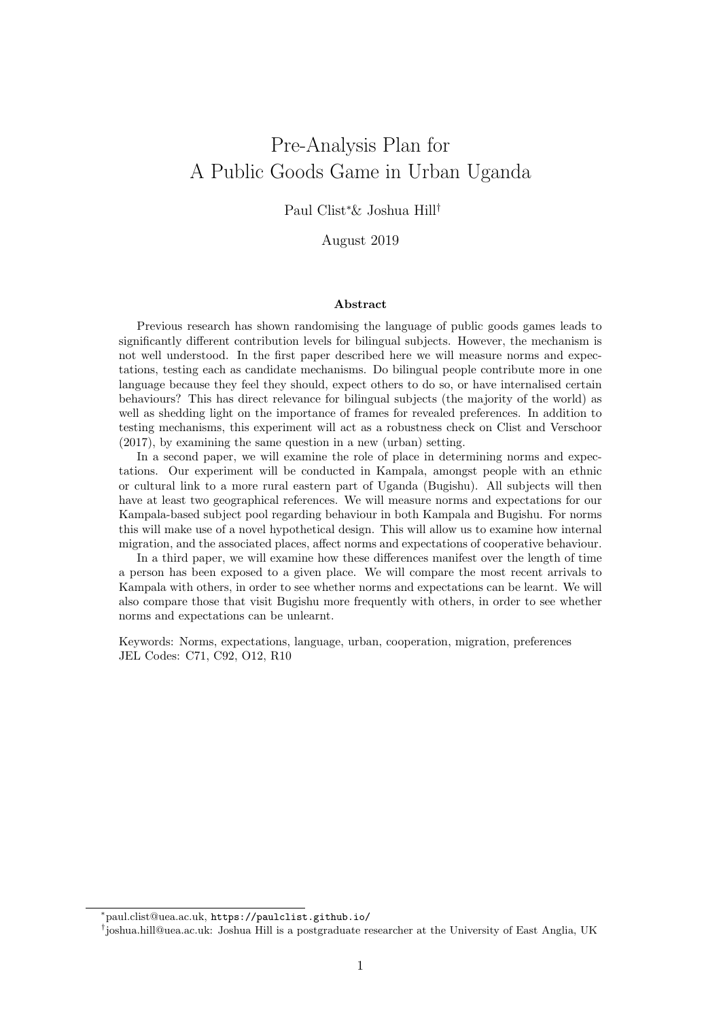# Pre-Analysis Plan for A Public Goods Game in Urban Uganda

### Paul Clist<sup>∗</sup>& Joshua Hill†

### August 2019

#### Abstract

Previous research has shown randomising the language of public goods games leads to significantly different contribution levels for bilingual subjects. However, the mechanism is not well understood. In the first paper described here we will measure norms and expectations, testing each as candidate mechanisms. Do bilingual people contribute more in one language because they feel they should, expect others to do so, or have internalised certain behaviours? This has direct relevance for bilingual subjects (the majority of the world) as well as shedding light on the importance of frames for revealed preferences. In addition to testing mechanisms, this experiment will act as a robustness check on [Clist and Verschoor](#page-39-0) [\(2017\)](#page-39-0), by examining the same question in a new (urban) setting.

In a second paper, we will examine the role of place in determining norms and expectations. Our experiment will be conducted in Kampala, amongst people with an ethnic or cultural link to a more rural eastern part of Uganda (Bugishu). All subjects will then have at least two geographical references. We will measure norms and expectations for our Kampala-based subject pool regarding behaviour in both Kampala and Bugishu. For norms this will make use of a novel hypothetical design. This will allow us to examine how internal migration, and the associated places, affect norms and expectations of cooperative behaviour.

In a third paper, we will examine how these differences manifest over the length of time a person has been exposed to a given place. We will compare the most recent arrivals to Kampala with others, in order to see whether norms and expectations can be learnt. We will also compare those that visit Bugishu more frequently with others, in order to see whether norms and expectations can be unlearnt.

Keywords: Norms, expectations, language, urban, cooperation, migration, preferences JEL Codes: C71, C92, O12, R10

<sup>∗</sup>paul.clist@uea.ac.uk, <https://paulclist.github.io/>

<sup>†</sup> joshua.hill@uea.ac.uk: Joshua Hill is a postgraduate researcher at the University of East Anglia, UK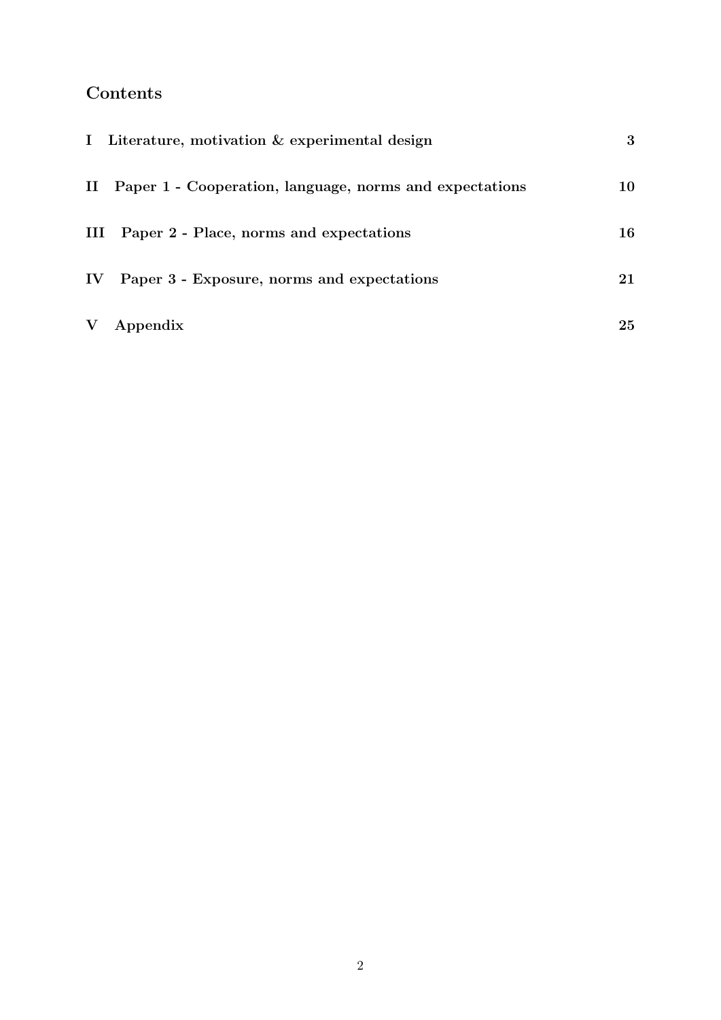# Contents

|               | I Literature, motivation & experimental design             | 3  |
|---------------|------------------------------------------------------------|----|
|               | II Paper 1 - Cooperation, language, norms and expectations | 10 |
|               | III Paper 2 - Place, norms and expectations                | 16 |
| $\mathbf{IV}$ | Paper 3 - Exposure, norms and expectations                 | 21 |
| $\mathbf {V}$ | Appendix                                                   | 25 |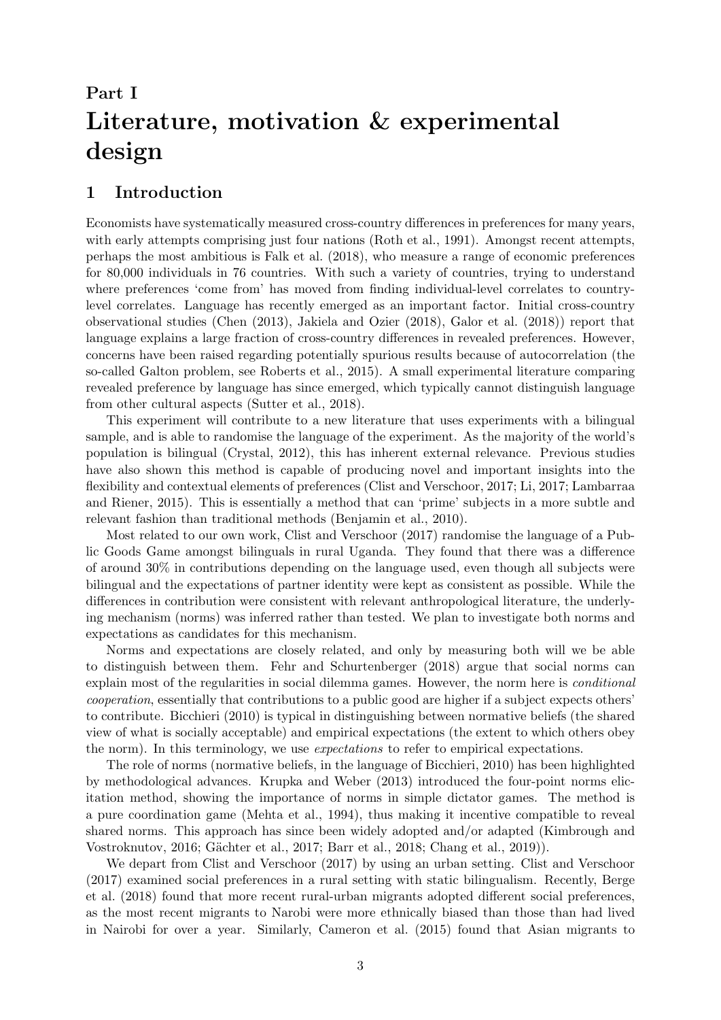# <span id="page-2-0"></span>Part I Literature, motivation & experimental design

# 1 Introduction

Economists have systematically measured cross-country differences in preferences for many years, with early attempts comprising just four nations [\(Roth et al., 1991\)](#page-40-0). Amongst recent attempts, perhaps the most ambitious is [Falk et al.](#page-40-1) [\(2018\)](#page-40-1), who measure a range of economic preferences for 80,000 individuals in 76 countries. With such a variety of countries, trying to understand where preferences 'come from' has moved from finding individual-level correlates to countrylevel correlates. Language has recently emerged as an important factor. Initial cross-country observational studies [\(Chen](#page-39-1) [\(2013\)](#page-39-1), [Jakiela and Ozier](#page-40-2) [\(2018\)](#page-40-2), [Galor et al.](#page-40-3) [\(2018\)](#page-40-3)) report that language explains a large fraction of cross-country differences in revealed preferences. However, concerns have been raised regarding potentially spurious results because of autocorrelation (the so-called Galton problem, see [Roberts et al., 2015\)](#page-40-4). A small experimental literature comparing revealed preference by language has since emerged, which typically cannot distinguish language from other cultural aspects [\(Sutter et al., 2018\)](#page-41-0).

This experiment will contribute to a new literature that uses experiments with a bilingual sample, and is able to randomise the language of the experiment. As the majority of the world's population is bilingual [\(Crystal, 2012\)](#page-39-2), this has inherent external relevance. Previous studies have also shown this method is capable of producing novel and important insights into the flexibility and contextual elements of preferences [\(Clist and Verschoor, 2017;](#page-39-0) [Li, 2017;](#page-40-5) [Lambarraa](#page-40-6) [and Riener, 2015\)](#page-40-6). This is essentially a method that can 'prime' subjects in a more subtle and relevant fashion than traditional methods [\(Benjamin et al., 2010\)](#page-39-3).

Most related to our own work, [Clist and Verschoor](#page-39-0) [\(2017\)](#page-39-0) randomise the language of a Public Goods Game amongst bilinguals in rural Uganda. They found that there was a difference of around 30% in contributions depending on the language used, even though all subjects were bilingual and the expectations of partner identity were kept as consistent as possible. While the differences in contribution were consistent with relevant anthropological literature, the underlying mechanism (norms) was inferred rather than tested. We plan to investigate both norms and expectations as candidates for this mechanism.

Norms and expectations are closely related, and only by measuring both will we be able to distinguish between them. [Fehr and Schurtenberger](#page-40-7) [\(2018\)](#page-40-7) argue that social norms can explain most of the regularities in social dilemma games. However, the norm here is *conditional* cooperation, essentially that contributions to a public good are higher if a subject expects others' to contribute. [Bicchieri](#page-39-4) [\(2010\)](#page-39-4) is typical in distinguishing between normative beliefs (the shared view of what is socially acceptable) and empirical expectations (the extent to which others obey the norm). In this terminology, we use expectations to refer to empirical expectations.

The role of norms (normative beliefs, in the language of [Bicchieri, 2010\)](#page-39-4) has been highlighted by methodological advances. [Krupka and Weber](#page-40-8) [\(2013\)](#page-40-8) introduced the four-point norms elicitation method, showing the importance of norms in simple dictator games. The method is a pure coordination game [\(Mehta et al., 1994\)](#page-40-9), thus making it incentive compatible to reveal shared norms. This approach has since been widely adopted and/or adapted [\(Kimbrough and](#page-40-10) [Vostroknutov, 2016;](#page-40-10) Gächter et al., 2017; [Barr et al., 2018;](#page-39-5) [Chang et al., 2019\)](#page-39-6).

We depart from [Clist and Verschoor](#page-39-0) [\(2017\)](#page-39-0) by using an urban setting. [Clist and Verschoor](#page-39-0) [\(2017\)](#page-39-0) examined social preferences in a rural setting with static bilingualism. Recently, [Berge](#page-39-7) [et al.](#page-39-7) [\(2018\)](#page-39-7) found that more recent rural-urban migrants adopted different social preferences, as the most recent migrants to Narobi were more ethnically biased than those than had lived in Nairobi for over a year. Similarly, [Cameron et al.](#page-39-8) [\(2015\)](#page-39-8) found that Asian migrants to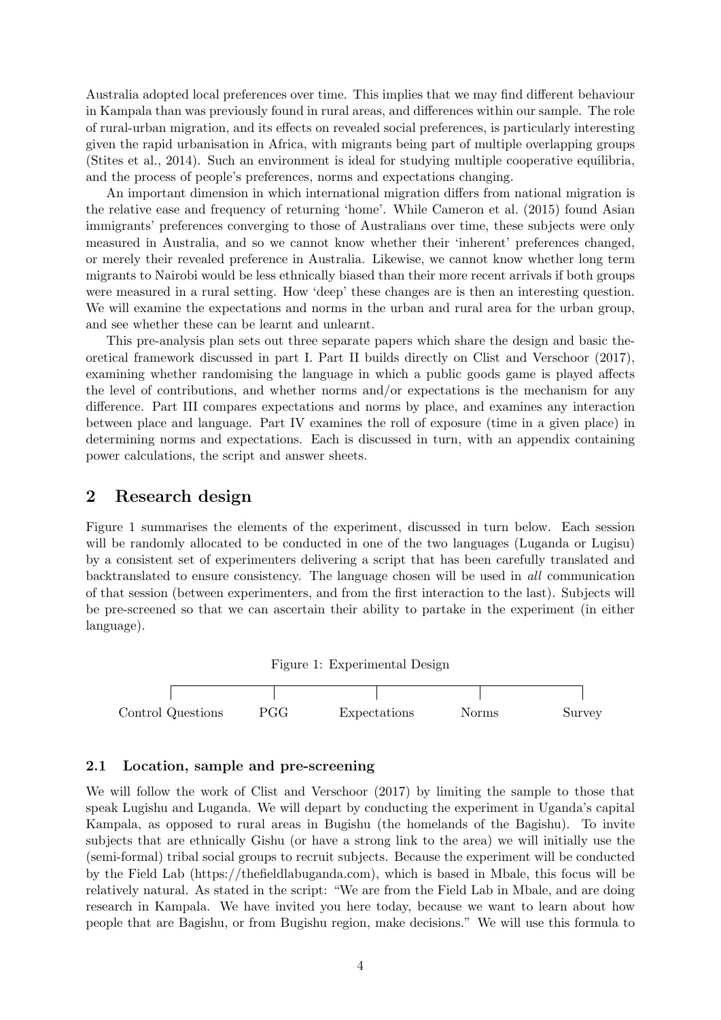Australia adopted local preferences over time. This implies that we may find different behaviour in Kampala than was previously found in rural areas, and differences within our sample. The role of rural-urban migration, and its effects on revealed social preferences, is particularly interesting given the rapid urbanisation in Africa, with migrants being part of multiple overlapping groups [\(Stites et al., 2014\)](#page-40-12). Such an environment is ideal for studying multiple cooperative equilibria, and the process of people's preferences, norms and expectations changing.

An important dimension in which international migration differs from national migration is the relative ease and frequency of returning 'home'. While [Cameron et al.](#page-39-8) [\(2015\)](#page-39-8) found Asian immigrants' preferences converging to those of Australians over time, these subjects were only measured in Australia, and so we cannot know whether their 'inherent' preferences changed, or merely their revealed preference in Australia. Likewise, we cannot know whether long term migrants to Nairobi would be less ethnically biased than their more recent arrivals if both groups were measured in a rural setting. How 'deep' these changes are is then an interesting question. We will examine the expectations and norms in the urban and rural area for the urban group, and see whether these can be learnt and unlearnt.

This pre-analysis plan sets out three separate papers which share the design and basic theoretical framework discussed in part I. Part II builds directly on [Clist and Verschoor](#page-39-0) [\(2017\)](#page-39-0), examining whether randomising the language in which a public goods game is played affects the level of contributions, and whether norms and/or expectations is the mechanism for any difference. Part III compares expectations and norms by place, and examines any interaction between place and language. Part IV examines the roll of exposure (time in a given place) in determining norms and expectations. Each is discussed in turn, with an appendix containing power calculations, the script and answer sheets.

## 2 Research design

Figure [1](#page-3-0) summarises the elements of the experiment, discussed in turn below. Each session will be randomly allocated to be conducted in one of the two languages (Luganda or Lugisu) by a consistent set of experimenters delivering a script that has been carefully translated and backtranslated to ensure consistency. The language chosen will be used in all communication of that session (between experimenters, and from the first interaction to the last). Subjects will be pre-screened so that we can ascertain their ability to partake in the experiment (in either language).

<span id="page-3-0"></span>

### 2.1 Location, sample and pre-screening

We will follow the work of [Clist and Verschoor](#page-39-0) [\(2017\)](#page-39-0) by limiting the sample to those that speak Lugishu and Luganda. We will depart by conducting the experiment in Uganda's capital Kampala, as opposed to rural areas in Bugishu (the homelands of the Bagishu). To invite subjects that are ethnically Gishu (or have a strong link to the area) we will initially use the (semi-formal) tribal social groups to recruit subjects. Because the experiment will be conducted by the Field Lab (https://thefieldlabuganda.com), which is based in Mbale, this focus will be relatively natural. As stated in the script: "We are from the Field Lab in Mbale, and are doing research in Kampala. We have invited you here today, because we want to learn about how people that are Bagishu, or from Bugishu region, make decisions." We will use this formula to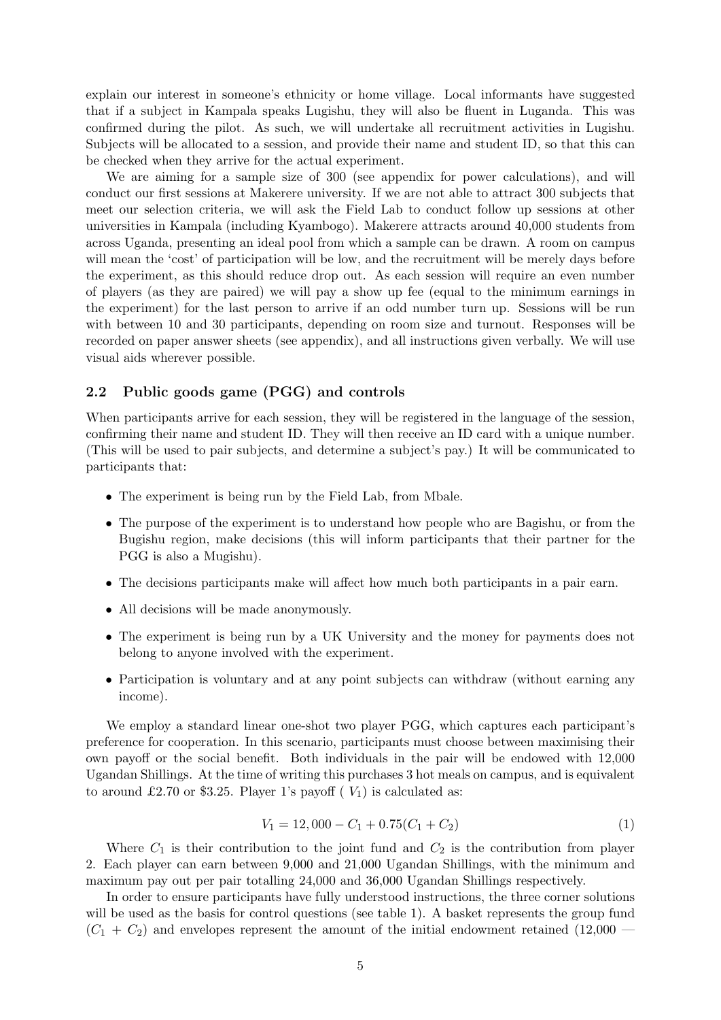explain our interest in someone's ethnicity or home village. Local informants have suggested that if a subject in Kampala speaks Lugishu, they will also be fluent in Luganda. This was confirmed during the pilot. As such, we will undertake all recruitment activities in Lugishu. Subjects will be allocated to a session, and provide their name and student ID, so that this can be checked when they arrive for the actual experiment.

We are aiming for a sample size of 300 (see appendix for power calculations), and will conduct our first sessions at Makerere university. If we are not able to attract 300 subjects that meet our selection criteria, we will ask the Field Lab to conduct follow up sessions at other universities in Kampala (including Kyambogo). Makerere attracts around 40,000 students from across Uganda, presenting an ideal pool from which a sample can be drawn. A room on campus will mean the 'cost' of participation will be low, and the recruitment will be merely days before the experiment, as this should reduce drop out. As each session will require an even number of players (as they are paired) we will pay a show up fee (equal to the minimum earnings in the experiment) for the last person to arrive if an odd number turn up. Sessions will be run with between 10 and 30 participants, depending on room size and turnout. Responses will be recorded on paper answer sheets (see appendix), and all instructions given verbally. We will use visual aids wherever possible.

### 2.2 Public goods game (PGG) and controls

When participants arrive for each session, they will be registered in the language of the session, confirming their name and student ID. They will then receive an ID card with a unique number. (This will be used to pair subjects, and determine a subject's pay.) It will be communicated to participants that:

- The experiment is being run by the Field Lab, from Mbale.
- The purpose of the experiment is to understand how people who are Bagishu, or from the Bugishu region, make decisions (this will inform participants that their partner for the PGG is also a Mugishu).
- The decisions participants make will affect how much both participants in a pair earn.
- All decisions will be made anonymously.
- The experiment is being run by a UK University and the money for payments does not belong to anyone involved with the experiment.
- Participation is voluntary and at any point subjects can withdraw (without earning any income).

We employ a standard linear one-shot two player PGG, which captures each participant's preference for cooperation. In this scenario, participants must choose between maximising their own payoff or the social benefit. Both individuals in the pair will be endowed with 12,000 Ugandan Shillings. At the time of writing this purchases 3 hot meals on campus, and is equivalent to around £2.70 or \$3.25. Player 1's payoff ( $V_1$ ) is calculated as:

$$
V_1 = 12,000 - C_1 + 0.75(C_1 + C_2)
$$
\n<sup>(1)</sup>

Where  $C_1$  is their contribution to the joint fund and  $C_2$  is the contribution from player 2. Each player can earn between 9,000 and 21,000 Ugandan Shillings, with the minimum and maximum pay out per pair totalling 24,000 and 36,000 Ugandan Shillings respectively.

In order to ensure participants have fully understood instructions, the three corner solutions will be used as the basis for control questions (see table [1\)](#page-5-0). A basket represents the group fund  $(C_1 + C_2)$  and envelopes represent the amount of the initial endowment retained (12,000 —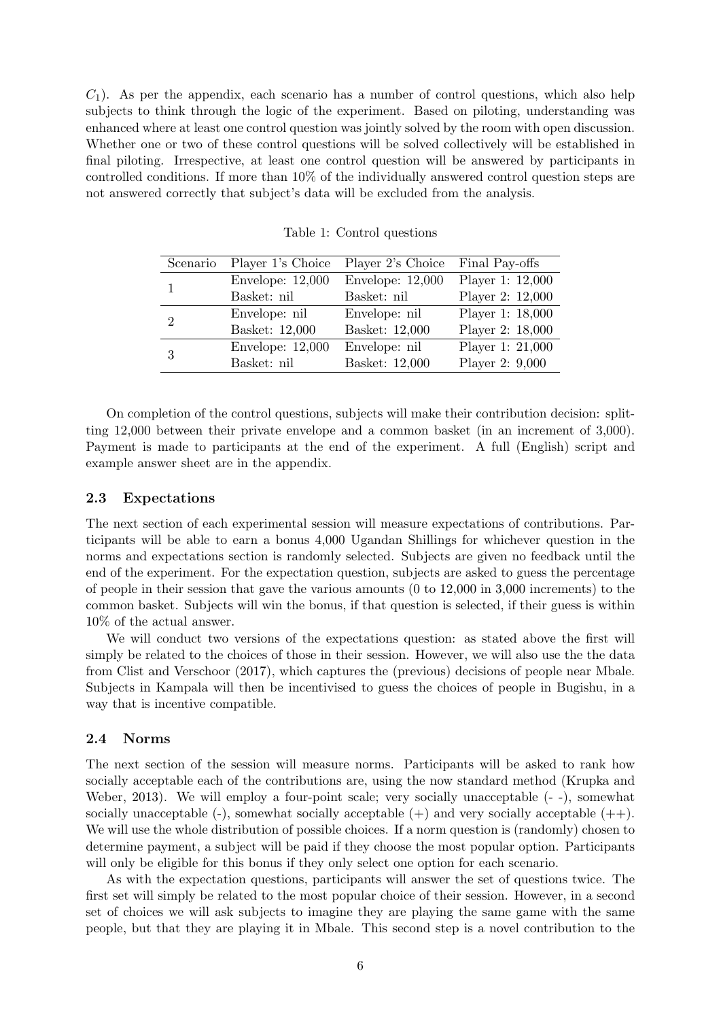$C_1$ ). As per the appendix, each scenario has a number of control questions, which also help subjects to think through the logic of the experiment. Based on piloting, understanding was enhanced where at least one control question was jointly solved by the room with open discussion. Whether one or two of these control questions will be solved collectively will be established in final piloting. Irrespective, at least one control question will be answered by participants in controlled conditions. If more than 10% of the individually answered control question steps are not answered correctly that subject's data will be excluded from the analysis.

| Scenario      | Player 1's Choice  | Player 2's Choice  | Final Pay-offs   |
|---------------|--------------------|--------------------|------------------|
|               | Envelope: $12,000$ | Envelope: $12,000$ | Player 1: 12,000 |
|               | Basket: nil        | Basket: nil        | Player 2: 12,000 |
| $\mathcal{D}$ | Envelope: nil      | Envelope: nil      | Player 1: 18,000 |
|               | Basket: 12,000     | Basket: 12,000     | Player 2: 18,000 |
| 3             | Envelope: $12,000$ | Envelope: nil      | Player 1: 21,000 |
|               | Basket: nil        | Basket: 12,000     | Player 2: 9,000  |

<span id="page-5-0"></span>Table 1: Control questions

On completion of the control questions, subjects will make their contribution decision: splitting 12,000 between their private envelope and a common basket (in an increment of 3,000). Payment is made to participants at the end of the experiment. A full (English) script and example answer sheet are in the appendix.

### 2.3 Expectations

The next section of each experimental session will measure expectations of contributions. Participants will be able to earn a bonus 4,000 Ugandan Shillings for whichever question in the norms and expectations section is randomly selected. Subjects are given no feedback until the end of the experiment. For the expectation question, subjects are asked to guess the percentage of people in their session that gave the various amounts (0 to 12,000 in 3,000 increments) to the common basket. Subjects will win the bonus, if that question is selected, if their guess is within 10% of the actual answer.

We will conduct two versions of the expectations question: as stated above the first will simply be related to the choices of those in their session. However, we will also use the the data from [Clist and Verschoor](#page-39-0) [\(2017\)](#page-39-0), which captures the (previous) decisions of people near Mbale. Subjects in Kampala will then be incentivised to guess the choices of people in Bugishu, in a way that is incentive compatible.

### 2.4 Norms

The next section of the session will measure norms. Participants will be asked to rank how socially acceptable each of the contributions are, using the now standard method [\(Krupka and](#page-40-8) [Weber, 2013\)](#page-40-8). We will employ a four-point scale; very socially unacceptable  $(-)$ , somewhat socially unacceptable  $(-)$ , somewhat socially acceptable  $(+)$  and very socially acceptable  $(+)$ . We will use the whole distribution of possible choices. If a norm question is (randomly) chosen to determine payment, a subject will be paid if they choose the most popular option. Participants will only be eligible for this bonus if they only select one option for each scenario.

As with the expectation questions, participants will answer the set of questions twice. The first set will simply be related to the most popular choice of their session. However, in a second set of choices we will ask subjects to imagine they are playing the same game with the same people, but that they are playing it in Mbale. This second step is a novel contribution to the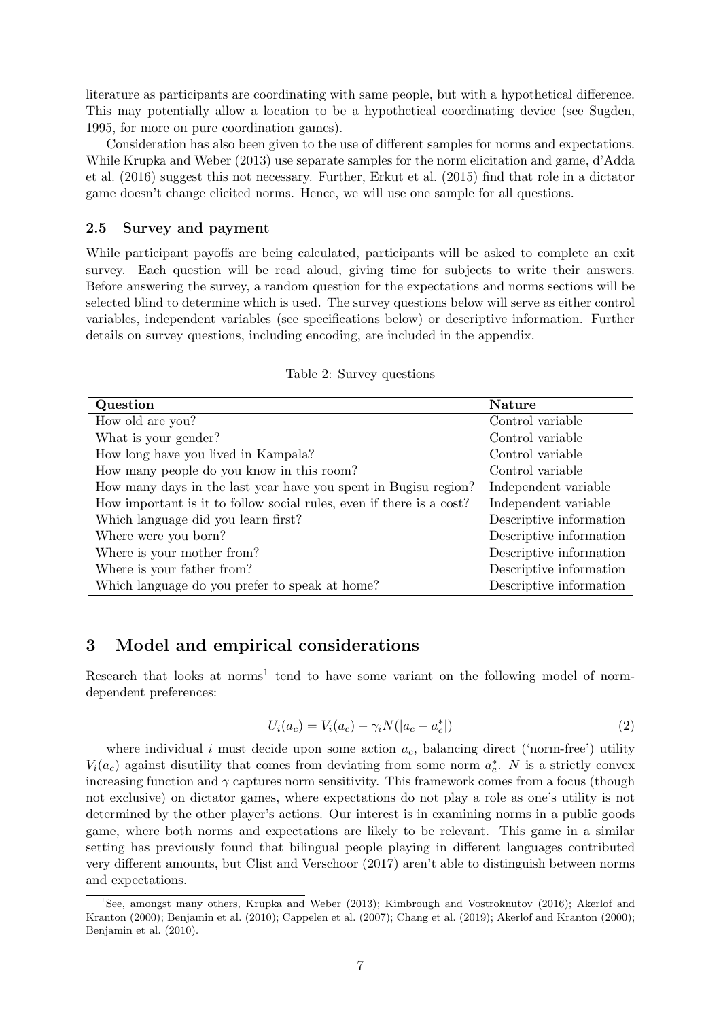literature as participants are coordinating with same people, but with a hypothetical difference. This may potentially allow a location to be a hypothetical coordinating device (see [Sugden,](#page-41-1) [1995,](#page-41-1) for more on pure coordination games).

Consideration has also been given to the use of different samples for norms and expectations. While [Krupka and Weber](#page-40-8) [\(2013\)](#page-40-8) use separate samples for the norm elicitation and game, [d'Adda](#page-39-9) [et al.](#page-39-9) [\(2016\)](#page-39-9) suggest this not necessary. Further, [Erkut et al.](#page-39-10) [\(2015\)](#page-39-10) find that role in a dictator game doesn't change elicited norms. Hence, we will use one sample for all questions.

### 2.5 Survey and payment

While participant payoffs are being calculated, participants will be asked to complete an exit survey. Each question will be read aloud, giving time for subjects to write their answers. Before answering the survey, a random question for the expectations and norms sections will be selected blind to determine which is used. The survey questions below will serve as either control variables, independent variables (see specifications below) or descriptive information. Further details on survey questions, including encoding, are included in the appendix.

| Question                                                             | <b>Nature</b>           |  |  |
|----------------------------------------------------------------------|-------------------------|--|--|
| How old are you?                                                     | Control variable        |  |  |
| What is your gender?                                                 | Control variable        |  |  |
| How long have you lived in Kampala?                                  | Control variable        |  |  |
| How many people do you know in this room?                            | Control variable        |  |  |
| How many days in the last year have you spent in Bugisu region?      | Independent variable    |  |  |
| How important is it to follow social rules, even if there is a cost? | Independent variable    |  |  |
| Which language did you learn first?                                  | Descriptive information |  |  |
| Where were you born?                                                 | Descriptive information |  |  |
| Where is your mother from?                                           | Descriptive information |  |  |
| Where is your father from?                                           | Descriptive information |  |  |
| Which language do you prefer to speak at home?                       | Descriptive information |  |  |

Table 2: Survey questions

# 3 Model and empirical considerations

Research that looks at norms<sup>[1](#page-6-0)</sup> tend to have some variant on the following model of normdependent preferences:

<span id="page-6-1"></span>
$$
U_i(a_c) = V_i(a_c) - \gamma_i N(|a_c - a_c^*|)
$$
\n(2)

where individual i must decide upon some action  $a_c$ , balancing direct ('norm-free') utility  $V_i(a_c)$  against disutility that comes from deviating from some norm  $a_c^*$ . N is a strictly convex increasing function and  $\gamma$  captures norm sensitivity. This framework comes from a focus (though not exclusive) on dictator games, where expectations do not play a role as one's utility is not determined by the other player's actions. Our interest is in examining norms in a public goods game, where both norms and expectations are likely to be relevant. This game in a similar setting has previously found that bilingual people playing in different languages contributed very different amounts, but [Clist and Verschoor](#page-39-0) [\(2017\)](#page-39-0) aren't able to distinguish between norms and expectations.

<span id="page-6-0"></span><sup>&</sup>lt;sup>1</sup>See, amongst many others, [Krupka and Weber](#page-40-8) [\(2013\)](#page-40-8); [Kimbrough and Vostroknutov](#page-40-10) [\(2016\)](#page-40-10); [Akerlof and](#page-39-11) [Kranton](#page-39-11) [\(2000\)](#page-39-11); [Benjamin et al.](#page-39-3) [\(2010\)](#page-39-3); [Cappelen et al.](#page-39-12) [\(2007\)](#page-39-12); [Chang et al.](#page-39-6) [\(2019\)](#page-39-6); [Akerlof and Kranton](#page-39-11) [\(2000\)](#page-39-11); [Benjamin et al.](#page-39-3) [\(2010\)](#page-39-3).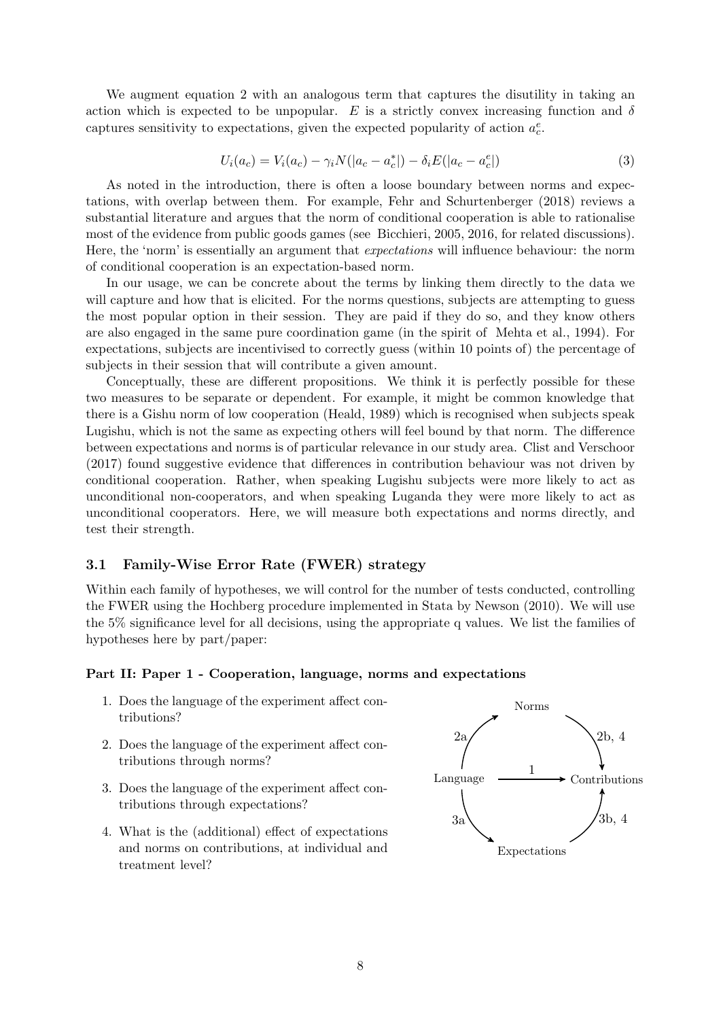We augment equation [2](#page-6-1) with an analogous term that captures the disutility in taking an action which is expected to be unpopular. E is a strictly convex increasing function and  $\delta$ captures sensitivity to expectations, given the expected popularity of action  $a_c^e$ .

<span id="page-7-0"></span>
$$
U_i(a_c) = V_i(a_c) - \gamma_i N(|a_c - a_c^*|) - \delta_i E(|a_c - a_c^e|)
$$
\n(3)

As noted in the introduction, there is often a loose boundary between norms and expectations, with overlap between them. For example, [Fehr and Schurtenberger](#page-40-7) [\(2018\)](#page-40-7) reviews a substantial literature and argues that the norm of conditional cooperation is able to rationalise most of the evidence from public goods games (see [Bicchieri, 2005,](#page-39-13) [2016,](#page-39-14) for related discussions). Here, the 'norm' is essentially an argument that expectations will influence behaviour: the norm of conditional cooperation is an expectation-based norm.

In our usage, we can be concrete about the terms by linking them directly to the data we will capture and how that is elicited. For the norms questions, subjects are attempting to guess the most popular option in their session. They are paid if they do so, and they know others are also engaged in the same pure coordination game (in the spirit of [Mehta et al., 1994\)](#page-40-9). For expectations, subjects are incentivised to correctly guess (within 10 points of) the percentage of subjects in their session that will contribute a given amount.

Conceptually, these are different propositions. We think it is perfectly possible for these two measures to be separate or dependent. For example, it might be common knowledge that there is a Gishu norm of low cooperation [\(Heald, 1989\)](#page-40-13) which is recognised when subjects speak Lugishu, which is not the same as expecting others will feel bound by that norm. The difference between expectations and norms is of particular relevance in our study area. [Clist and Verschoor](#page-39-0) [\(2017\)](#page-39-0) found suggestive evidence that differences in contribution behaviour was not driven by conditional cooperation. Rather, when speaking Lugishu subjects were more likely to act as unconditional non-cooperators, and when speaking Luganda they were more likely to act as unconditional cooperators. Here, we will measure both expectations and norms directly, and test their strength.

### 3.1 Family-Wise Error Rate (FWER) strategy

Within each family of hypotheses, we will control for the number of tests conducted, controlling the FWER using the Hochberg procedure implemented in Stata by [Newson](#page-40-14) [\(2010\)](#page-40-14). We will use the 5% significance level for all decisions, using the appropriate q values. We list the families of hypotheses here by part/paper:

### Part II: Paper 1 - Cooperation, language, norms and expectations

- 1. Does the language of the experiment affect contributions?
- 2. Does the language of the experiment affect contributions through norms?
- 3. Does the language of the experiment affect contributions through expectations?
- 4. What is the (additional) effect of expectations and norms on contributions, at individual and treatment level?

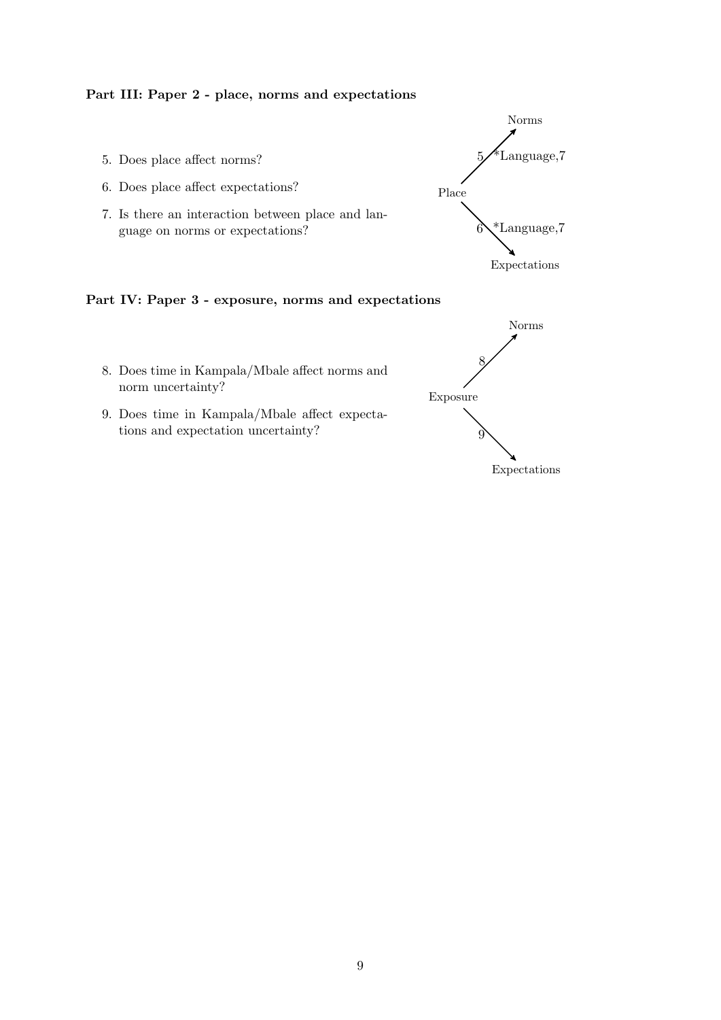## Part III: Paper 2 - place, norms and expectations

- 5. Does place affect norms?
- 6. Does place affect expectations?
- 7. Is there an interaction between place and language on norms or expectations?



## Part IV: Paper 3 - exposure, norms and expectations

- 8. Does time in Kampala/Mbale affect norms and norm uncertainty?
- 9. Does time in Kampala/Mbale affect expectations and expectation uncertainty?

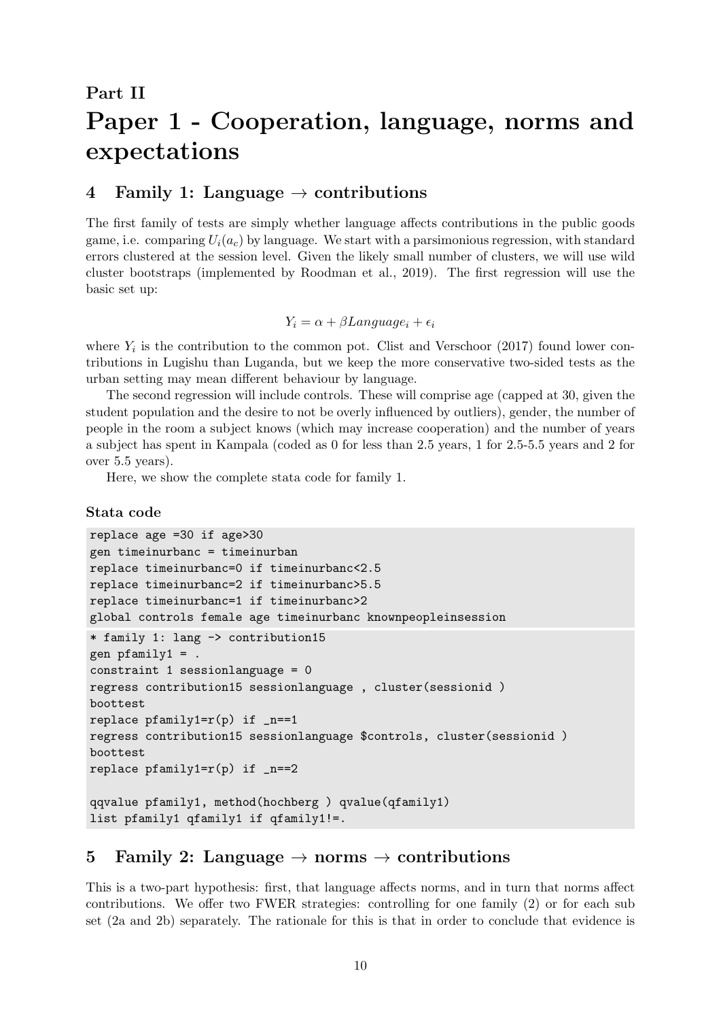# <span id="page-9-0"></span>Part II Paper 1 - Cooperation, language, norms and expectations

# 4 Family 1: Language  $\rightarrow$  contributions

The first family of tests are simply whether language affects contributions in the public goods game, i.e. comparing  $U_i(a_c)$  by language. We start with a parsimonious regression, with standard errors clustered at the session level. Given the likely small number of clusters, we will use wild cluster bootstraps (implemented by [Roodman et al., 2019\)](#page-40-15). The first regression will use the basic set up:

$$
Y_i = \alpha + \beta Language_i + \epsilon_i
$$

where  $Y_i$  is the contribution to the common pot. [Clist and Verschoor](#page-39-0) [\(2017\)](#page-39-0) found lower contributions in Lugishu than Luganda, but we keep the more conservative two-sided tests as the urban setting may mean different behaviour by language.

The second regression will include controls. These will comprise age (capped at 30, given the student population and the desire to not be overly influenced by outliers), gender, the number of people in the room a subject knows (which may increase cooperation) and the number of years a subject has spent in Kampala (coded as 0 for less than 2.5 years, 1 for 2.5-5.5 years and 2 for over 5.5 years).

Here, we show the complete stata code for family 1.

### Stata code

```
replace age =30 if age>30
gen timeinurbanc = timeinurban
replace timeinurbanc=0 if timeinurbanc<2.5
replace timeinurbanc=2 if timeinurbanc>5.5
replace timeinurbanc=1 if timeinurbanc>2
global controls female age timeinurbanc knownpeopleinsession
* family 1: lang -> contribution15
gen pfamily1 = .constraint 1 sessionlanguage = 0
regress contribution15 sessionlanguage , cluster(sessionid )
boottest
replace pfamily1=r(p) if _n==1regress contribution15 sessionlanguage $controls, cluster(sessionid )
boottest
replace pfamily1=r(p) if _n==2qqvalue pfamily1, method(hochberg ) qvalue(qfamily1)
list pfamily1 qfamily1 if qfamily1!=.
```
# 5 Family 2: Language  $\rightarrow$  norms  $\rightarrow$  contributions

This is a two-part hypothesis: first, that language affects norms, and in turn that norms affect contributions. We offer two FWER strategies: controlling for one family (2) or for each sub set (2a and 2b) separately. The rationale for this is that in order to conclude that evidence is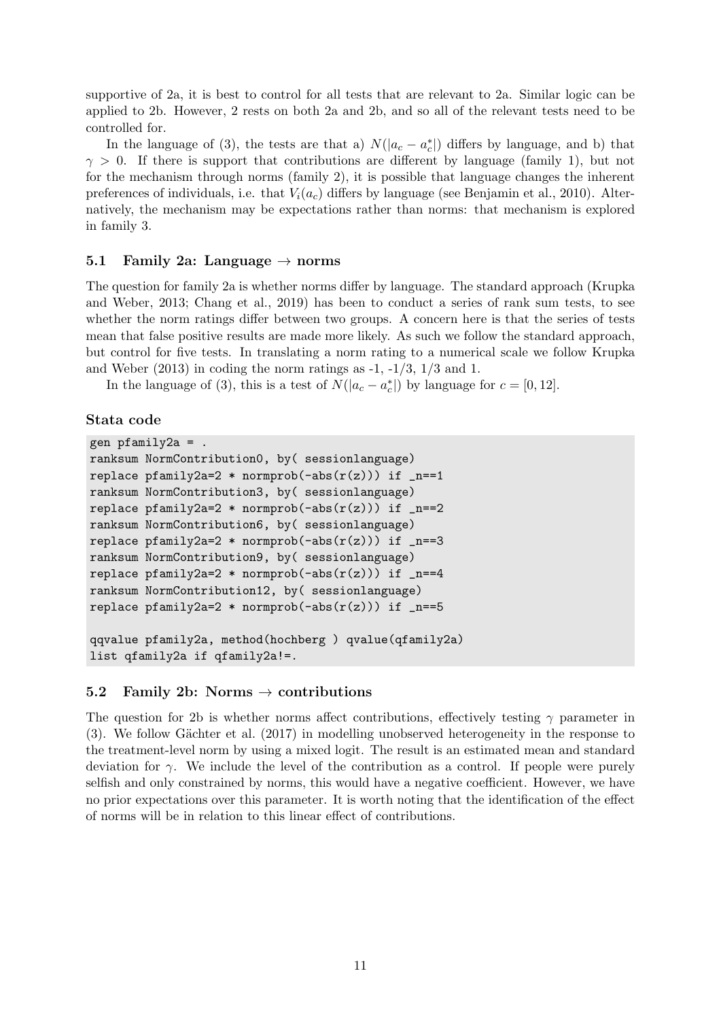supportive of 2a, it is best to control for all tests that are relevant to 2a. Similar logic can be applied to 2b. However, 2 rests on both 2a and 2b, and so all of the relevant tests need to be controlled for.

In the language of [\(3\)](#page-7-0), the tests are that a)  $N(|a_c - a_c^*|)$  differs by language, and b) that  $\gamma > 0$ . If there is support that contributions are different by language (family 1), but not for the mechanism through norms (family 2), it is possible that language changes the inherent preferences of individuals, i.e. that  $V_i(a_c)$  differs by language (see [Benjamin et al., 2010\)](#page-39-3). Alternatively, the mechanism may be expectations rather than norms: that mechanism is explored in family 3.

### 5.1 Family 2a: Language  $\rightarrow$  norms

The question for family 2a is whether norms differ by language. The standard approach [\(Krupka](#page-40-8) [and Weber, 2013;](#page-40-8) [Chang et al., 2019\)](#page-39-6) has been to conduct a series of rank sum tests, to see whether the norm ratings differ between two groups. A concern here is that the series of tests mean that false positive results are made more likely. As such we follow the standard approach, but control for five tests. In translating a norm rating to a numerical scale we follow Krupka and Weber  $(2013)$  in coding the norm ratings as  $-1$ ,  $-1/3$ ,  $1/3$  and 1.

In the language of [\(3\)](#page-7-0), this is a test of  $N(|a_c - a_c^*|)$  by language for  $c = [0, 12]$ .

### Stata code

```
gen pfamily2a = .
ranksum NormContribution0, by( sessionlanguage)
replace pfamily2a=2 * normprob(-abs(r(z))) if _n == 1ranksum NormContribution3, by( sessionlanguage)
replace pfamily2a=2 * normprob(-abs(r(z))) if _n == 2ranksum NormContribution6, by( sessionlanguage)
replace pfamily2a=2 * normprob(-abs(r(z))) if _n==3
ranksum NormContribution9, by( sessionlanguage)
replace pfamily2a=2 * normprob(-abs(r(z))) if _{n=4}ranksum NormContribution12, by( sessionlanguage)
replace pfamily2a=2 * normprob(-abs(r(z))) if _n == 5qqvalue pfamily2a, method(hochberg ) qvalue(qfamily2a)
```
list qfamily2a if qfamily2a!=.

### 5.2 Family 2b: Norms  $\rightarrow$  contributions

The question for 2b is whether norms affect contributions, effectively testing  $\gamma$  parameter in [\(3\)](#page-7-0). We follow [G¨achter et al.](#page-40-11) [\(2017\)](#page-40-11) in modelling unobserved heterogeneity in the response to the treatment-level norm by using a mixed logit. The result is an estimated mean and standard deviation for  $\gamma$ . We include the level of the contribution as a control. If people were purely selfish and only constrained by norms, this would have a negative coefficient. However, we have no prior expectations over this parameter. It is worth noting that the identification of the effect of norms will be in relation to this linear effect of contributions.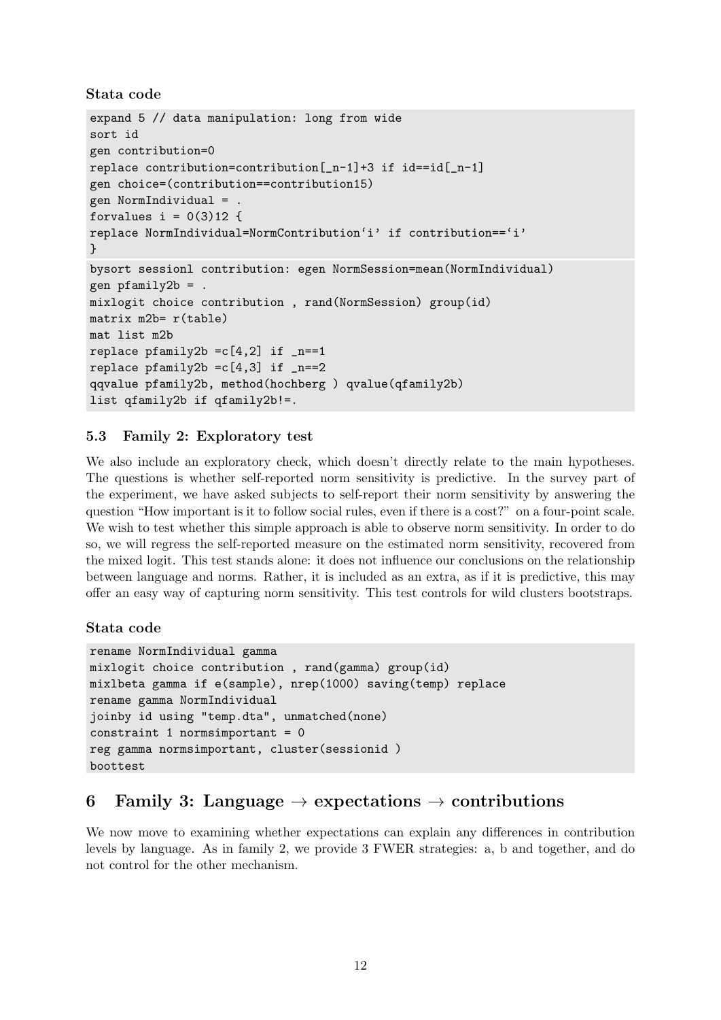```
Stata code
```

```
expand 5 // data manipulation: long from wide
sort id
gen contribution=0
replace contribution=contribution[_n-1]+3 if id==id[_n-1]
gen choice=(contribution==contribution15)
gen NormIndividual = .
forvalues i = 0(3)12 {
replace NormIndividual=NormContribution'i' if contribution=='i'
}
bysort sessionl contribution: egen NormSession=mean(NormIndividual)
gen pfamily2b =.
mixlogit choice contribution , rand(NormSession) group(id)
matrix m2b= r(table)
mat list m2b
replace pfamily2b = c[4,2] if _n == 1replace pfamily2b = c[4,3] if _n == 2qqvalue pfamily2b, method(hochberg ) qvalue(qfamily2b)
list qfamily2b if qfamily2b!=.
```
# 5.3 Family 2: Exploratory test

We also include an exploratory check, which doesn't directly relate to the main hypotheses. The questions is whether self-reported norm sensitivity is predictive. In the survey part of the experiment, we have asked subjects to self-report their norm sensitivity by answering the question "How important is it to follow social rules, even if there is a cost?" on a four-point scale. We wish to test whether this simple approach is able to observe norm sensitivity. In order to do so, we will regress the self-reported measure on the estimated norm sensitivity, recovered from the mixed logit. This test stands alone: it does not influence our conclusions on the relationship between language and norms. Rather, it is included as an extra, as if it is predictive, this may offer an easy way of capturing norm sensitivity. This test controls for wild clusters bootstraps.

# Stata code

```
rename NormIndividual gamma
mixlogit choice contribution , rand(gamma) group(id)
mixlbeta gamma if e(sample), nrep(1000) saving(temp) replace
rename gamma NormIndividual
joinby id using "temp.dta", unmatched(none)
constraint 1 normsimportant = 0reg gamma normsimportant, cluster(sessionid )
boottest
```
# 6 Family 3: Language  $\rightarrow$  expectations  $\rightarrow$  contributions

We now move to examining whether expectations can explain any differences in contribution levels by language. As in family 2, we provide 3 FWER strategies: a, b and together, and do not control for the other mechanism.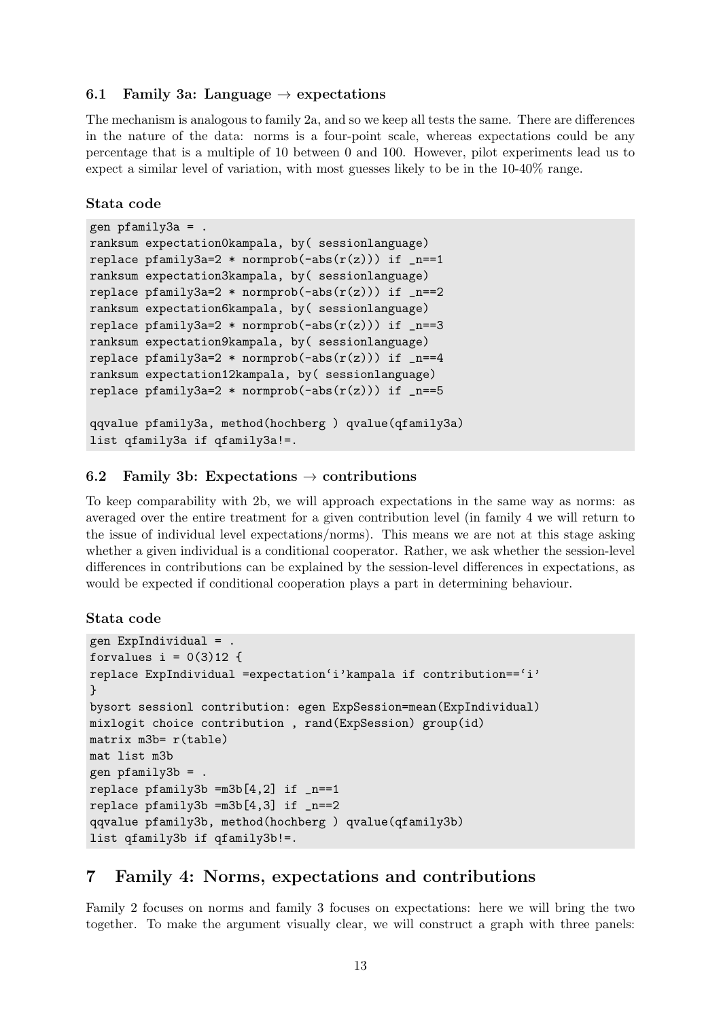### 6.1 Family 3a: Language  $\rightarrow$  expectations

The mechanism is analogous to family 2a, and so we keep all tests the same. There are differences in the nature of the data: norms is a four-point scale, whereas expectations could be any percentage that is a multiple of 10 between 0 and 100. However, pilot experiments lead us to expect a similar level of variation, with most guesses likely to be in the 10-40% range.

### Stata code

```
gen pfamily3a = .
ranksum expectation0kampala, by( sessionlanguage)
replace pfamily3a=2 * normprob(-abs(r(z))) if _n == 1ranksum expectation3kampala, by( sessionlanguage)
replace pfamily3a=2 * normprob(-abs(r(z))) if _n == 2ranksum expectation6kampala, by( sessionlanguage)
replace pfamily3a=2 * normprob(-abs(r(z))) if _n == 3ranksum expectation9kampala, by( sessionlanguage)
replace pfamily3a=2 * normprob(-abs(r(z))) if _n=-4ranksum expectation12kampala, by( sessionlanguage)
replace pfamily3a=2 * normprob(-abs(r(z))) if _n == 5qqvalue pfamily3a, method(hochberg ) qvalue(qfamily3a)
list qfamily3a if qfamily3a!=.
```
### 6.2 Family 3b: Expectations  $\rightarrow$  contributions

To keep comparability with 2b, we will approach expectations in the same way as norms: as averaged over the entire treatment for a given contribution level (in family 4 we will return to the issue of individual level expectations/norms). This means we are not at this stage asking whether a given individual is a conditional cooperator. Rather, we ask whether the session-level differences in contributions can be explained by the session-level differences in expectations, as would be expected if conditional cooperation plays a part in determining behaviour.

### Stata code

```
gen ExpIndividual = .
forvalues i = 0(3)12 {
replace ExpIndividual =expectation'i'kampala if contribution=='i'
}
bysort sessionl contribution: egen ExpSession=mean(ExpIndividual)
mixlogit choice contribution , rand(ExpSession) group(id)
matrix m3b= r(table)
mat list m3b
gen pfamily3b = .
replace pfamily3b = m3b[4,2] if _n==1replace pfamily3b = m3b[4,3] if _n == 2qqvalue pfamily3b, method(hochberg ) qvalue(qfamily3b)
list qfamily3b if qfamily3b!=.
```
# 7 Family 4: Norms, expectations and contributions

Family 2 focuses on norms and family 3 focuses on expectations: here we will bring the two together. To make the argument visually clear, we will construct a graph with three panels: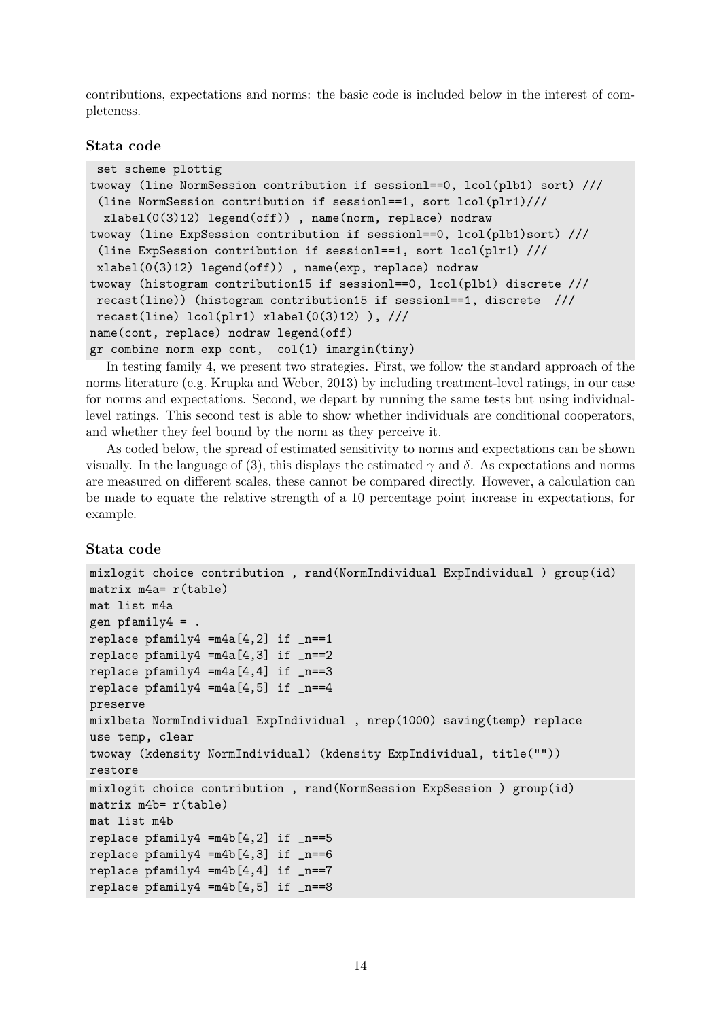contributions, expectations and norms: the basic code is included below in the interest of completeness.

### Stata code

```
set scheme plottig
twoway (line NormSession contribution if sessionl==0, lcol(plb1) sort) ///
 (line NormSession contribution if sessionl==1, sort lcol(plr1)///
 xlabel(0(3)12) legend(off)) , name(norm, replace) nodraw
twoway (line ExpSession contribution if sessionl==0, lcol(plb1)sort) ///
 (line ExpSession contribution if sessionl==1, sort lcol(plr1) ///
 xlabel(0(3)12) legend(off)) , name(exp, replace) nodraw
twoway (histogram contribution15 if sessionl==0, lcol(plb1) discrete ///
recast(line)) (histogram contribution15 if sessionl==1, discrete ///
recast(line) lcol(plr1) xlabel(0(3)12) ), //name(cont, replace) nodraw legend(off)
gr combine norm exp cont, col(1) imargin(tiny)
```
In testing family 4, we present two strategies. First, we follow the standard approach of the norms literature (e.g. [Krupka and Weber, 2013\)](#page-40-8) by including treatment-level ratings, in our case for norms and expectations. Second, we depart by running the same tests but using individuallevel ratings. This second test is able to show whether individuals are conditional cooperators, and whether they feel bound by the norm as they perceive it.

As coded below, the spread of estimated sensitivity to norms and expectations can be shown visually. In the language of [\(3\)](#page-7-0), this displays the estimated  $\gamma$  and  $\delta$ . As expectations and norms are measured on different scales, these cannot be compared directly. However, a calculation can be made to equate the relative strength of a 10 percentage point increase in expectations, for example.

### Stata code

```
mixlogit choice contribution , rand(NormIndividual ExpIndividual ) group(id)
matrix m4a = r(tab]emat list m4a
gen pfamily4 = .
replace pfamily4 = m4a[4,2] if _n == 1replace pfamily4 = m4a[4,3] if _n == 2replace pfamily4 = m4a[4,4] if _n == 3replace pfamily4 = m4a[4,5] if _n == 4preserve
mixlbeta NormIndividual ExpIndividual , nrep(1000) saving(temp) replace
use temp, clear
twoway (kdensity NormIndividual) (kdensity ExpIndividual, title(""))
restore
mixlogit choice contribution , rand(NormSession ExpSession ) group(id)
matrix m4b= r(table)
mat list m4b
replace pfamily4 = m4b[4,2] if _n == 5replace pfamily4 = m4b[4,3] if _n==6replace pfamily4 = m4b[4,4] if _n == 7replace pfamily4 = m4b[4,5] if _n == 8
```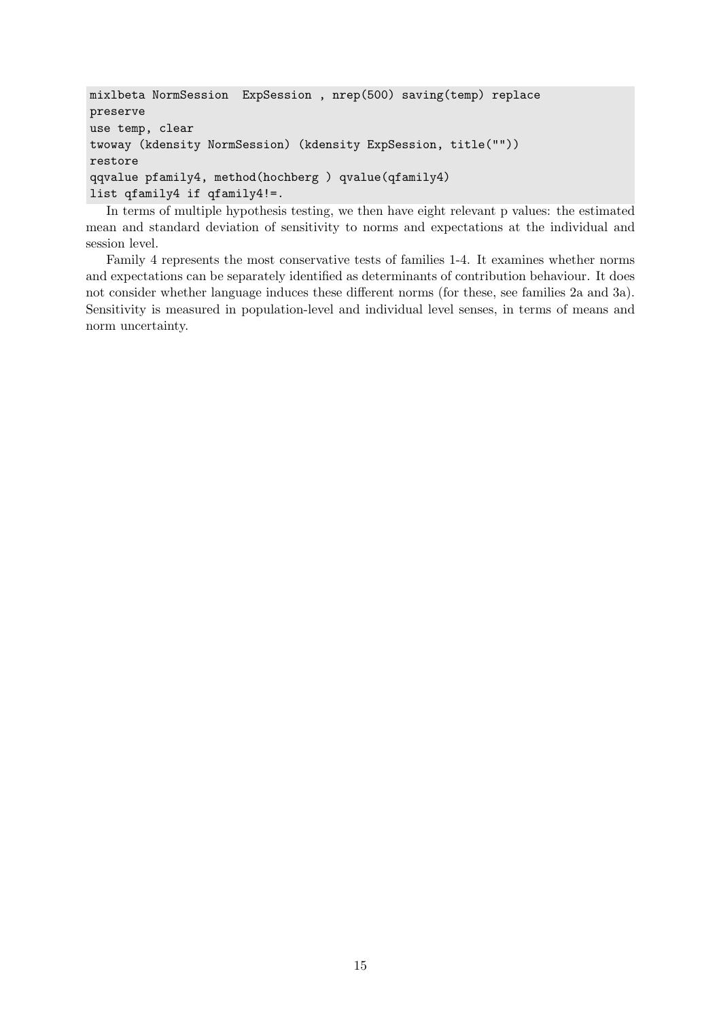```
mixlbeta NormSession ExpSession , nrep(500) saving(temp) replace
preserve
use temp, clear
twoway (kdensity NormSession) (kdensity ExpSession, title(""))
restore
qqvalue pfamily4, method(hochberg ) qvalue(qfamily4)
list qfamily4 if qfamily4!=.
```
In terms of multiple hypothesis testing, we then have eight relevant p values: the estimated mean and standard deviation of sensitivity to norms and expectations at the individual and session level.

Family 4 represents the most conservative tests of families 1-4. It examines whether norms and expectations can be separately identified as determinants of contribution behaviour. It does not consider whether language induces these different norms (for these, see families 2a and 3a). Sensitivity is measured in population-level and individual level senses, in terms of means and norm uncertainty.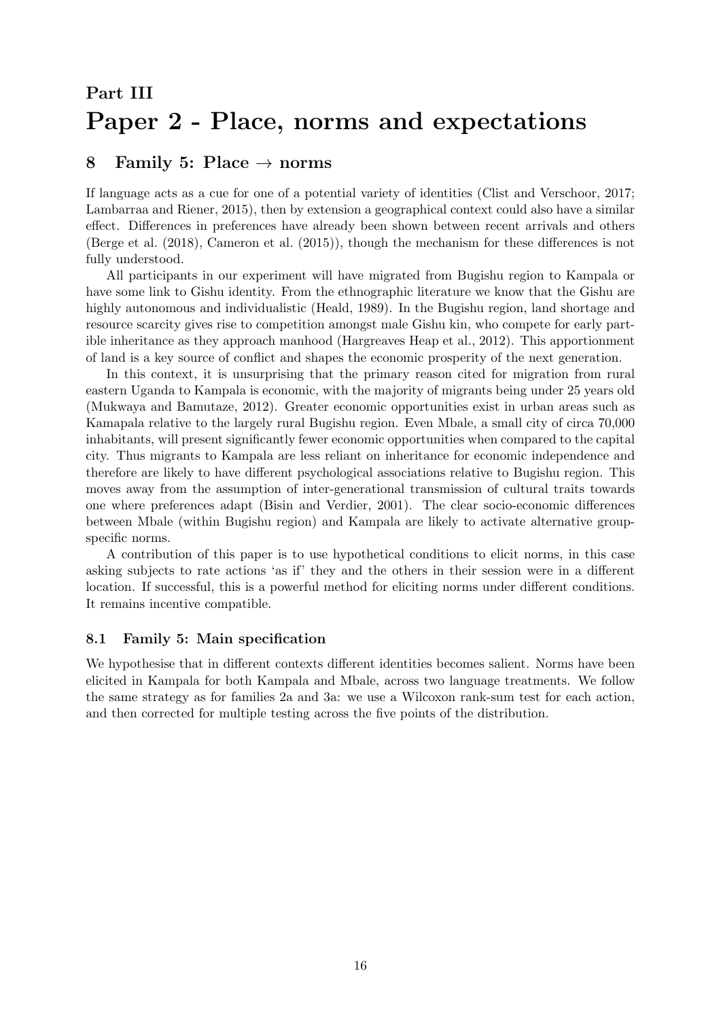# <span id="page-15-0"></span>Part III Paper 2 - Place, norms and expectations

# 8 Family 5: Place  $\rightarrow$  norms

If language acts as a cue for one of a potential variety of identities [\(Clist and Verschoor, 2017;](#page-39-0) [Lambarraa and Riener, 2015\)](#page-40-6), then by extension a geographical context could also have a similar effect. Differences in preferences have already been shown between recent arrivals and others [\(Berge et al.](#page-39-7) [\(2018\)](#page-39-7), [Cameron et al.](#page-39-8) [\(2015\)](#page-39-8)), though the mechanism for these differences is not fully understood.

All participants in our experiment will have migrated from Bugishu region to Kampala or have some link to Gishu identity. From the ethnographic literature we know that the Gishu are highly autonomous and individualistic [\(Heald, 1989\)](#page-40-13). In the Bugishu region, land shortage and resource scarcity gives rise to competition amongst male Gishu kin, who compete for early partible inheritance as they approach manhood [\(Hargreaves Heap et al., 2012\)](#page-40-16). This apportionment of land is a key source of conflict and shapes the economic prosperity of the next generation.

In this context, it is unsurprising that the primary reason cited for migration from rural eastern Uganda to Kampala is economic, with the majority of migrants being under 25 years old [\(Mukwaya and Bamutaze, 2012\)](#page-40-17). Greater economic opportunities exist in urban areas such as Kamapala relative to the largely rural Bugishu region. Even Mbale, a small city of circa 70,000 inhabitants, will present significantly fewer economic opportunities when compared to the capital city. Thus migrants to Kampala are less reliant on inheritance for economic independence and therefore are likely to have different psychological associations relative to Bugishu region. This moves away from the assumption of inter-generational transmission of cultural traits towards one where preferences adapt [\(Bisin and Verdier, 2001\)](#page-39-15). The clear socio-economic differences between Mbale (within Bugishu region) and Kampala are likely to activate alternative groupspecific norms.

A contribution of this paper is to use hypothetical conditions to elicit norms, in this case asking subjects to rate actions 'as if' they and the others in their session were in a different location. If successful, this is a powerful method for eliciting norms under different conditions. It remains incentive compatible.

### 8.1 Family 5: Main specification

We hypothesise that in different contexts different identities becomes salient. Norms have been elicited in Kampala for both Kampala and Mbale, across two language treatments. We follow the same strategy as for families 2a and 3a: we use a Wilcoxon rank-sum test for each action, and then corrected for multiple testing across the five points of the distribution.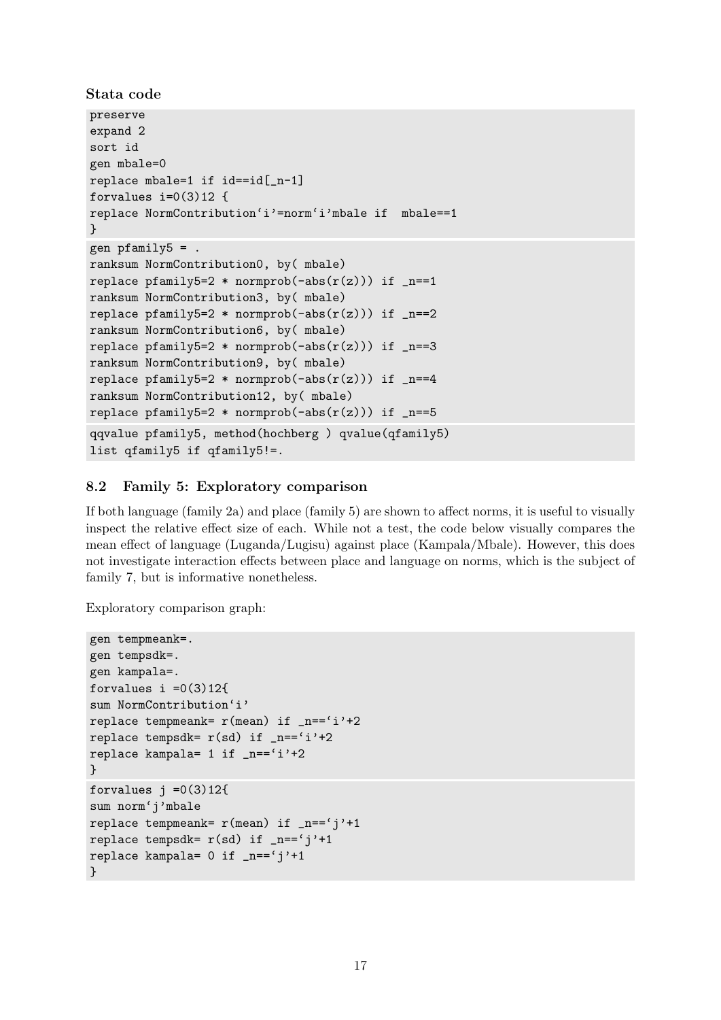```
Stata code
```

```
preserve
expand 2
sort id
gen mbale=0
replace mbale=1 if id==id[_n-1]
forvalues i=0(3)12 {
replace NormContribution'i'=norm'i'mbale if mbale==1
}
gen pfamily5 = .ranksum NormContribution0, by( mbale)
replace pfamily5=2 * normprob(-abs(r(z))) if _n == 1ranksum NormContribution3, by( mbale)
replace pfamily5=2 * normprob(-abs(r(z))) if _n == 2ranksum NormContribution6, by( mbale)
replace pfamily5=2 * normprob(-abs(r(z))) if _n == 3ranksum NormContribution9, by( mbale)
replace pfamily5=2 * normprob(-abs(r(z))) if _n == 4ranksum NormContribution12, by( mbale)
replace pfamily5=2 * normprob(-abs(r(z))) if _n == 5qqvalue pfamily5, method(hochberg ) qvalue(qfamily5)
list qfamily5 if qfamily5!=.
```
# 8.2 Family 5: Exploratory comparison

If both language (family 2a) and place (family 5) are shown to affect norms, it is useful to visually inspect the relative effect size of each. While not a test, the code below visually compares the mean effect of language (Luganda/Lugisu) against place (Kampala/Mbale). However, this does not investigate interaction effects between place and language on norms, which is the subject of family 7, but is informative nonetheless.

Exploratory comparison graph:

```
gen tempmeank=.
gen tempsdk=.
gen kampala=.
forvalues i = 0(3)12{
sum NormContribution'i'
replace tempmeank= r(mean) if _n=-i'i'+2replace tempsdk= r(sd) if n=='i'+2replace kampala= 1 if _n == 'i' + 2}
forvalues j = 0(3)12{
sum norm'j'mbale
replace tempmeank= r(mean) if _n == 'j'+1replace tempsdk= r(sd) if _n == 'j'+1replace kampala= 0 if _n == 'j' + 1}
```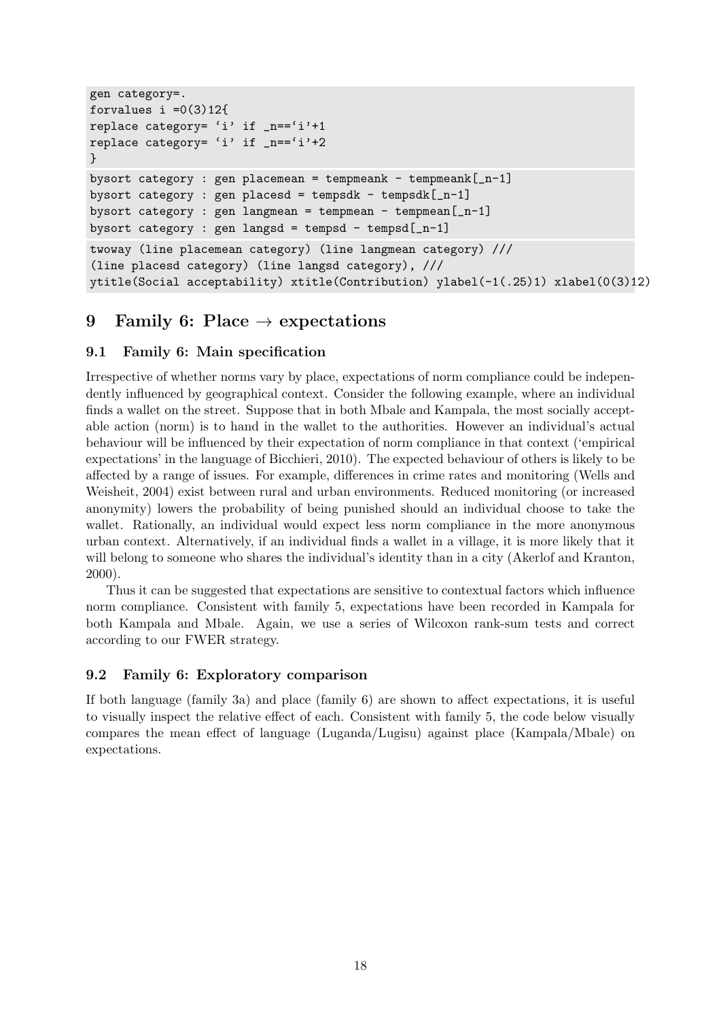```
gen category=.
forvalues i = 0(3)12{
replace category= 'i' if _n=='i'+1
replace category= 'i' if _n == 'i' + 2}
bysort category : gen placemean = tempmeank - tempmeank[-n-1]bysort category : gen placesd = tempsdk - tempsdk[-n-1]bysort category : gen langmean = tempmean - tempmean[-n-1]bysort category : gen langsd = tempsd - tempsd[-n-1]twoway (line placemean category) (line langmean category) ///
(line placesd category) (line langsd category), ///
ytitle(Social acceptability) xtitle(Contribution) ylabel(-1(.25)1) xlabel(0(3)12)
```
# 9 Family 6: Place  $\rightarrow$  expectations

# 9.1 Family 6: Main specification

Irrespective of whether norms vary by place, expectations of norm compliance could be independently influenced by geographical context. Consider the following example, where an individual finds a wallet on the street. Suppose that in both Mbale and Kampala, the most socially acceptable action (norm) is to hand in the wallet to the authorities. However an individual's actual behaviour will be influenced by their expectation of norm compliance in that context ('empirical expectations' in the language of [Bicchieri, 2010\)](#page-39-4). The expected behaviour of others is likely to be affected by a range of issues. For example, differences in crime rates and monitoring [\(Wells and](#page-41-2) [Weisheit, 2004\)](#page-41-2) exist between rural and urban environments. Reduced monitoring (or increased anonymity) lowers the probability of being punished should an individual choose to take the wallet. Rationally, an individual would expect less norm compliance in the more anonymous urban context. Alternatively, if an individual finds a wallet in a village, it is more likely that it will belong to someone who shares the individual's identity than in a city [\(Akerlof and Kranton,](#page-39-11) [2000\)](#page-39-11).

Thus it can be suggested that expectations are sensitive to contextual factors which influence norm compliance. Consistent with family 5, expectations have been recorded in Kampala for both Kampala and Mbale. Again, we use a series of Wilcoxon rank-sum tests and correct according to our FWER strategy.

# 9.2 Family 6: Exploratory comparison

If both language (family 3a) and place (family 6) are shown to affect expectations, it is useful to visually inspect the relative effect of each. Consistent with family 5, the code below visually compares the mean effect of language (Luganda/Lugisu) against place (Kampala/Mbale) on expectations.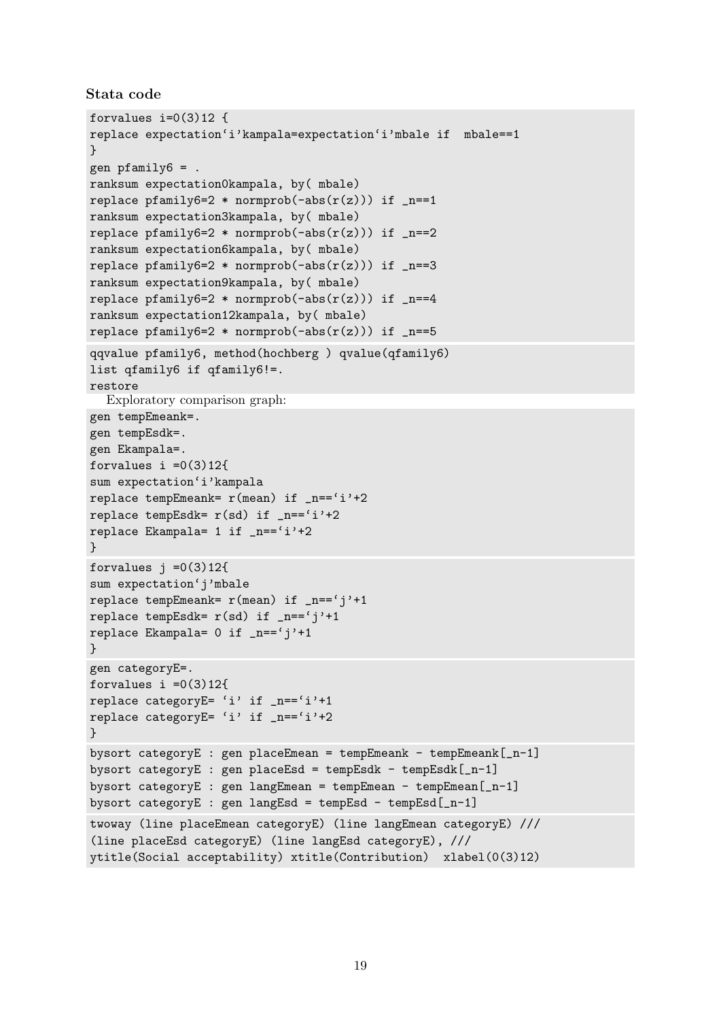```
Stata code
```

```
forvalues i=0(3)12 {
replace expectation'i'kampala=expectation'i'mbale if mbale==1
}
gen pfamily6 = .
ranksum expectation0kampala, by( mbale)
replace pfamily6=2 * normprob(-abs(r(z))) if _n == 1ranksum expectation3kampala, by( mbale)
replace pfamily6=2 * normprob(-abs(r(z))) if _n==2
ranksum expectation6kampala, by( mbale)
replace pfamily6=2 * normprob(-abs(r(z))) if _n==3
ranksum expectation9kampala, by( mbale)
replace pfamily6=2 * normprob(-abs(r(z))) if _n=-4ranksum expectation12kampala, by( mbale)
replace pfamily6=2 * normprob(-abs(r(z))) if _n==5
qqvalue pfamily6, method(hochberg ) qvalue(qfamily6)
list qfamily6 if qfamily6!=.
restore
  Exploratory comparison graph:
gen tempEmeank=.
gen tempEsdk=.
gen Ekampala=.
forvalues i =0(3)12{
sum expectation'i'kampala
replace tempEmeank= r(mean) if _n == 'i' + 2replace tempEsdk= r(sd) if _n == 'i'+2replace Ekampala= 1 if _n=='i'+2
}
forvalues i = 0(3)12{
sum expectation'j'mbale
replace tempEmeank= r(mean) if _n=='j'+1
replace tempEsdk= r(sd) if _n == 'j'+1replace Ekampala= 0 if _n=='j'+1
}
gen categoryE=.
forvalues i = 0(3)12{
replace categoryE= 'i' if _n == 'i'+1replace categoryE= 'i' if _n == 'i'+2}
bysort categoryE : gen placeEmean = tempEmeank - tempEmeank[-n-1]bysort categoryE : gen placeEsd = tempEsdk - tempEsdk[-n-1]bysort categoryE : gen langEmean = tempEmean - tempEmean[_n-1]
bysort categoryE : gen langEsd = tempEsd - tempEsd[-n-1]twoway (line placeEmean categoryE) (line langEmean categoryE) ///
(line placeEsd categoryE) (line langEsd categoryE), ///
ytitle(Social acceptability) xtitle(Contribution) xlabel(0(3)12)
```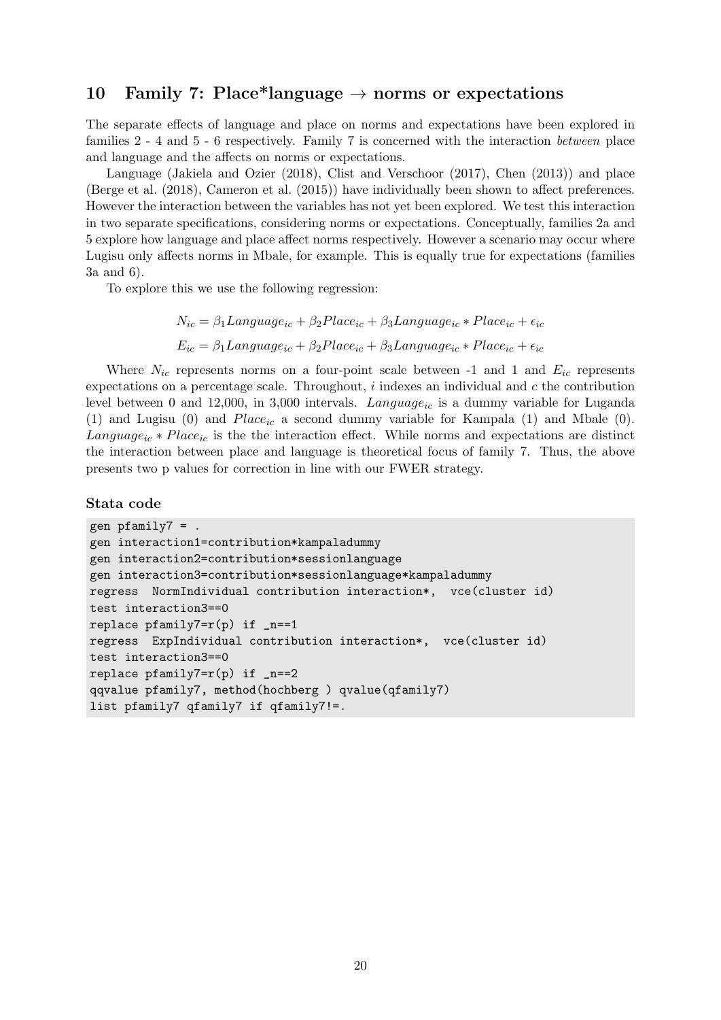# 10 Family 7: Place\*language  $\rightarrow$  norms or expectations

The separate effects of language and place on norms and expectations have been explored in families 2 - 4 and 5 - 6 respectively. Family 7 is concerned with the interaction between place and language and the affects on norms or expectations.

Language [\(Jakiela and Ozier](#page-40-2) [\(2018\)](#page-40-2), [Clist and Verschoor](#page-39-0) [\(2017\)](#page-39-0), [Chen](#page-39-1) [\(2013\)](#page-39-1)) and place [\(Berge et al.](#page-39-7) [\(2018\)](#page-39-7), [Cameron et al.](#page-39-8) [\(2015\)](#page-39-8)) have individually been shown to affect preferences. However the interaction between the variables has not yet been explored. We test this interaction in two separate specifications, considering norms or expectations. Conceptually, families 2a and 5 explore how language and place affect norms respectively. However a scenario may occur where Lugisu only affects norms in Mbale, for example. This is equally true for expectations (families 3a and 6).

To explore this we use the following regression:

$$
N_{ic} = \beta_1 Language_{ic} + \beta_2 Place_{ic} + \beta_3 Language_{ic} * Place_{ic} + \epsilon_{ic}
$$

$$
E_{ic} = \beta_1 Language_{ic} + \beta_2 Place_{ic} + \beta_3 Language_{ic} * Place_{ic} + \epsilon_{ic}
$$

Where  $N_{ic}$  represents norms on a four-point scale between -1 and 1 and  $E_{ic}$  represents expectations on a percentage scale. Throughout,  $i$  indexes an individual and  $c$  the contribution level between 0 and 12,000, in 3,000 intervals. Language<sub>ic</sub> is a dummy variable for Luganda (1) and Lugisu (0) and  $Place_{ic}$  a second dummy variable for Kampala (1) and Mbale (0).  $Language_{ic} * Place_{ic}$  is the the interaction effect. While norms and expectations are distinct the interaction between place and language is theoretical focus of family 7. Thus, the above presents two p values for correction in line with our FWER strategy.

### Stata code

```
gen pfamily7 = .
gen interaction1=contribution*kampaladummy
gen interaction2=contribution*sessionlanguage
gen interaction3=contribution*sessionlanguage*kampaladummy
regress NormIndividual contribution interaction*, vce(cluster id)
test interaction3==0
replace pfamily7=r(p) if _n==1regress ExpIndividual contribution interaction*, vce(cluster id)
test interaction3==0
replace pfamily7=r(p) if _n==2qqvalue pfamily7, method(hochberg ) qvalue(qfamily7)
list pfamily7 qfamily7 if qfamily7!=.
```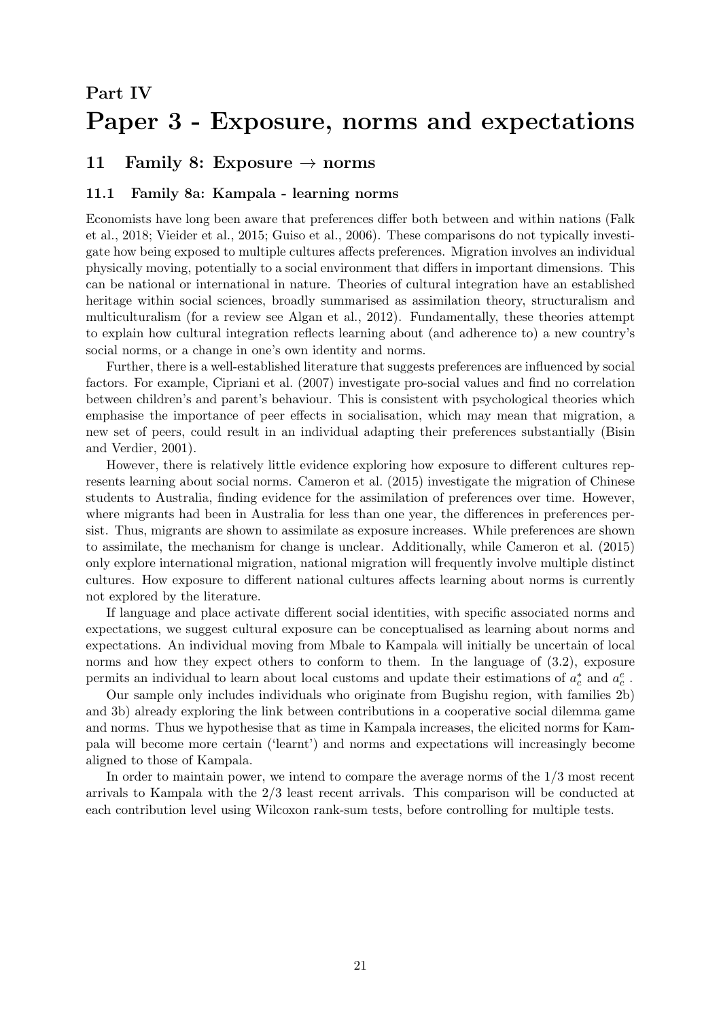# <span id="page-20-0"></span>Part IV Paper 3 - Exposure, norms and expectations

# 11 Family 8: Exposure  $\rightarrow$  norms

### 11.1 Family 8a: Kampala - learning norms

Economists have long been aware that preferences differ both between and within nations [\(Falk](#page-40-1) [et al., 2018;](#page-40-1) [Vieider et al., 2015;](#page-41-3) [Guiso et al., 2006\)](#page-40-18). These comparisons do not typically investigate how being exposed to multiple cultures affects preferences. Migration involves an individual physically moving, potentially to a social environment that differs in important dimensions. This can be national or international in nature. Theories of cultural integration have an established heritage within social sciences, broadly summarised as assimilation theory, structuralism and multiculturalism (for a review see [Algan et al., 2012\)](#page-39-16). Fundamentally, these theories attempt to explain how cultural integration reflects learning about (and adherence to) a new country's social norms, or a change in one's own identity and norms.

Further, there is a well-established literature that suggests preferences are influenced by social factors. For example, [Cipriani et al.](#page-39-17) [\(2007\)](#page-39-17) investigate pro-social values and find no correlation between children's and parent's behaviour. This is consistent with psychological theories which emphasise the importance of peer effects in socialisation, which may mean that migration, a new set of peers, could result in an individual adapting their preferences substantially [\(Bisin](#page-39-15) [and Verdier, 2001\)](#page-39-15).

However, there is relatively little evidence exploring how exposure to different cultures represents learning about social norms. [Cameron et al.](#page-39-8) [\(2015\)](#page-39-8) investigate the migration of Chinese students to Australia, finding evidence for the assimilation of preferences over time. However, where migrants had been in Australia for less than one year, the differences in preferences persist. Thus, migrants are shown to assimilate as exposure increases. While preferences are shown to assimilate, the mechanism for change is unclear. Additionally, while [Cameron et al.](#page-39-8) [\(2015\)](#page-39-8) only explore international migration, national migration will frequently involve multiple distinct cultures. How exposure to different national cultures affects learning about norms is currently not explored by the literature.

If language and place activate different social identities, with specific associated norms and expectations, we suggest cultural exposure can be conceptualised as learning about norms and expectations. An individual moving from Mbale to Kampala will initially be uncertain of local norms and how they expect others to conform to them. In the language of  $(3.2)$ , exposure permits an individual to learn about local customs and update their estimations of  $a_c^*$  and  $a_c^e$ .

Our sample only includes individuals who originate from Bugishu region, with families 2b) and 3b) already exploring the link between contributions in a cooperative social dilemma game and norms. Thus we hypothesise that as time in Kampala increases, the elicited norms for Kampala will become more certain ('learnt') and norms and expectations will increasingly become aligned to those of Kampala.

In order to maintain power, we intend to compare the average norms of the 1/3 most recent arrivals to Kampala with the 2/3 least recent arrivals. This comparison will be conducted at each contribution level using Wilcoxon rank-sum tests, before controlling for multiple tests.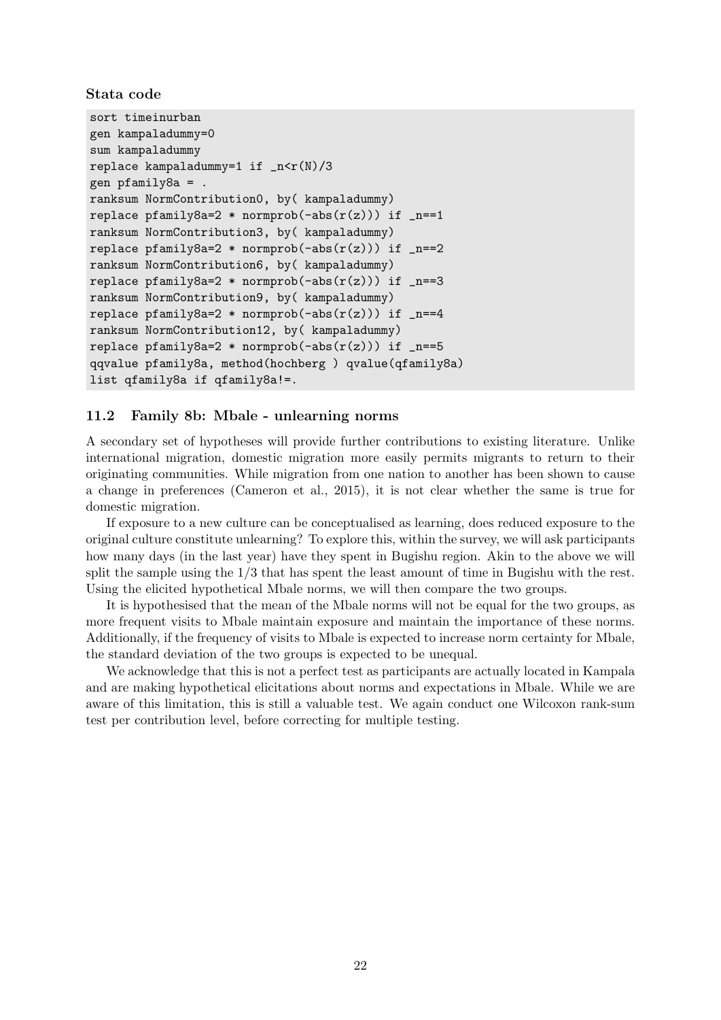Stata code

```
sort timeinurban
gen kampaladummy=0
sum kampaladummy
replace kampaladummy=1 if _n < r(N)/3gen pfamily8a = .
ranksum NormContribution0, by( kampaladummy)
replace pfamily8a=2 * normprob(-abs(r(z))) if _n == 1ranksum NormContribution3, by( kampaladummy)
replace pfamily8a=2 * normprob(-abs(r(z))) if _n == 2ranksum NormContribution6, by( kampaladummy)
replace pfamily8a=2 * normprob(-abs(r(z))) if _n == 3ranksum NormContribution9, by( kampaladummy)
replace pfamily8a=2 * normprob(-abs(r(z))) if _{n=4}ranksum NormContribution12, by( kampaladummy)
replace pfamily8a=2 * normprob(-abs(r(z))) if _n == 5qqvalue pfamily8a, method(hochberg ) qvalue(qfamily8a)
list qfamily8a if qfamily8a!=.
```
### 11.2 Family 8b: Mbale - unlearning norms

A secondary set of hypotheses will provide further contributions to existing literature. Unlike international migration, domestic migration more easily permits migrants to return to their originating communities. While migration from one nation to another has been shown to cause a change in preferences [\(Cameron et al., 2015\)](#page-39-8), it is not clear whether the same is true for domestic migration.

If exposure to a new culture can be conceptualised as learning, does reduced exposure to the original culture constitute unlearning? To explore this, within the survey, we will ask participants how many days (in the last year) have they spent in Bugishu region. Akin to the above we will split the sample using the 1/3 that has spent the least amount of time in Bugishu with the rest. Using the elicited hypothetical Mbale norms, we will then compare the two groups.

It is hypothesised that the mean of the Mbale norms will not be equal for the two groups, as more frequent visits to Mbale maintain exposure and maintain the importance of these norms. Additionally, if the frequency of visits to Mbale is expected to increase norm certainty for Mbale, the standard deviation of the two groups is expected to be unequal.

We acknowledge that this is not a perfect test as participants are actually located in Kampala and are making hypothetical elicitations about norms and expectations in Mbale. While we are aware of this limitation, this is still a valuable test. We again conduct one Wilcoxon rank-sum test per contribution level, before correcting for multiple testing.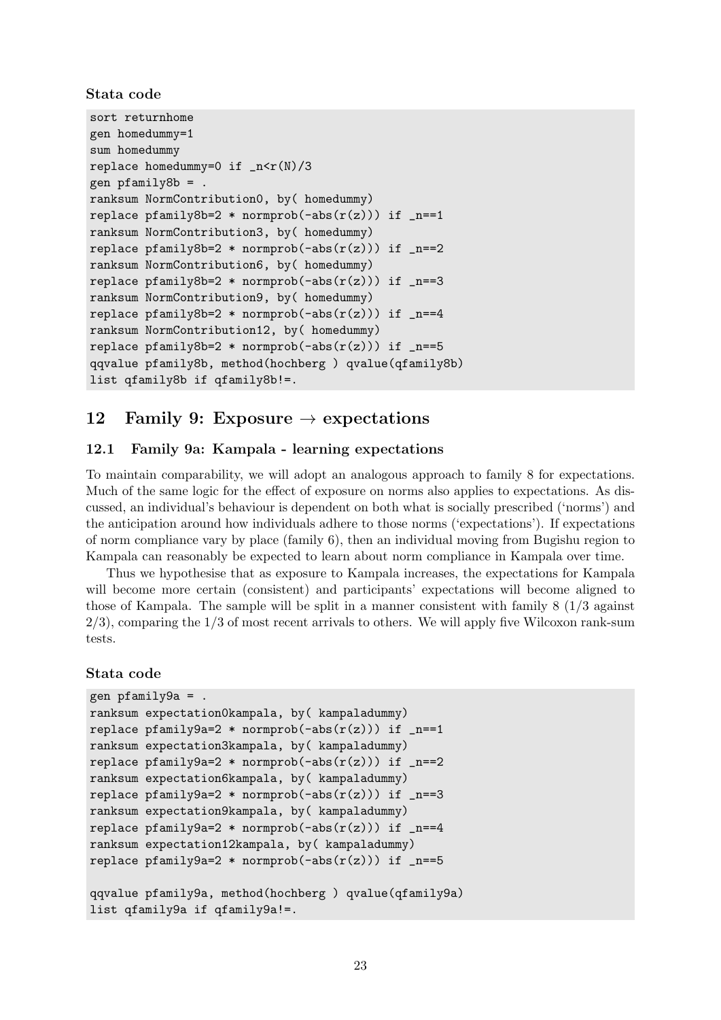Stata code

```
sort returnhome
gen homedummy=1
sum homedummy
replace homedummy=0 if _n < r(N)/3gen pfamily8b = .
ranksum NormContribution0, by( homedummy)
replace pfamily8b=2 * normprob(-abs(r(z))) if _n == 1ranksum NormContribution3, by( homedummy)
replace pfamily8b=2 * normprob(-abs(r(z))) if _n == 2ranksum NormContribution6, by( homedummy)
replace pfamily8b=2 * normprob(-abs(r(z))) if _n == 3ranksum NormContribution9, by( homedummy)
replace pfamily8b=2 * normprob(-abs(r(z))) if _n=-4ranksum NormContribution12, by( homedummy)
replace pfamily8b=2 * normprob(-abs(r(z))) if _n==5qqvalue pfamily8b, method(hochberg ) qvalue(qfamily8b)
list qfamily8b if qfamily8b!=.
```
# 12 Family 9: Exposure  $\rightarrow$  expectations

### 12.1 Family 9a: Kampala - learning expectations

To maintain comparability, we will adopt an analogous approach to family 8 for expectations. Much of the same logic for the effect of exposure on norms also applies to expectations. As discussed, an individual's behaviour is dependent on both what is socially prescribed ('norms') and the anticipation around how individuals adhere to those norms ('expectations'). If expectations of norm compliance vary by place (family 6), then an individual moving from Bugishu region to Kampala can reasonably be expected to learn about norm compliance in Kampala over time.

Thus we hypothesise that as exposure to Kampala increases, the expectations for Kampala will become more certain (consistent) and participants' expectations will become aligned to those of Kampala. The sample will be split in a manner consistent with family 8 (1/3 against  $2/3$ , comparing the  $1/3$  of most recent arrivals to others. We will apply five Wilcoxon rank-sum tests.

### Stata code

```
gen pfamily9a = .
ranksum expectation0kampala, by( kampaladummy)
replace pfamily9a=2 * normprob(-abs(r(z))) if _n==1
ranksum expectation3kampala, by( kampaladummy)
replace pfamily9a=2 * normprob(-abs(r(z))) if _n == 2ranksum expectation6kampala, by( kampaladummy)
replace pfamily9a=2 * normprob(-abs(r(z))) if _n==3
ranksum expectation9kampala, by( kampaladummy)
replace pfamily9a=2 * normprob(-abs(r(z))) if _n=-4ranksum expectation12kampala, by( kampaladummy)
replace pfamily9a=2 * normprob(-abs(r(z))) if _n == 5qqvalue pfamily9a, method(hochberg ) qvalue(qfamily9a)
list qfamily9a if qfamily9a!=.
```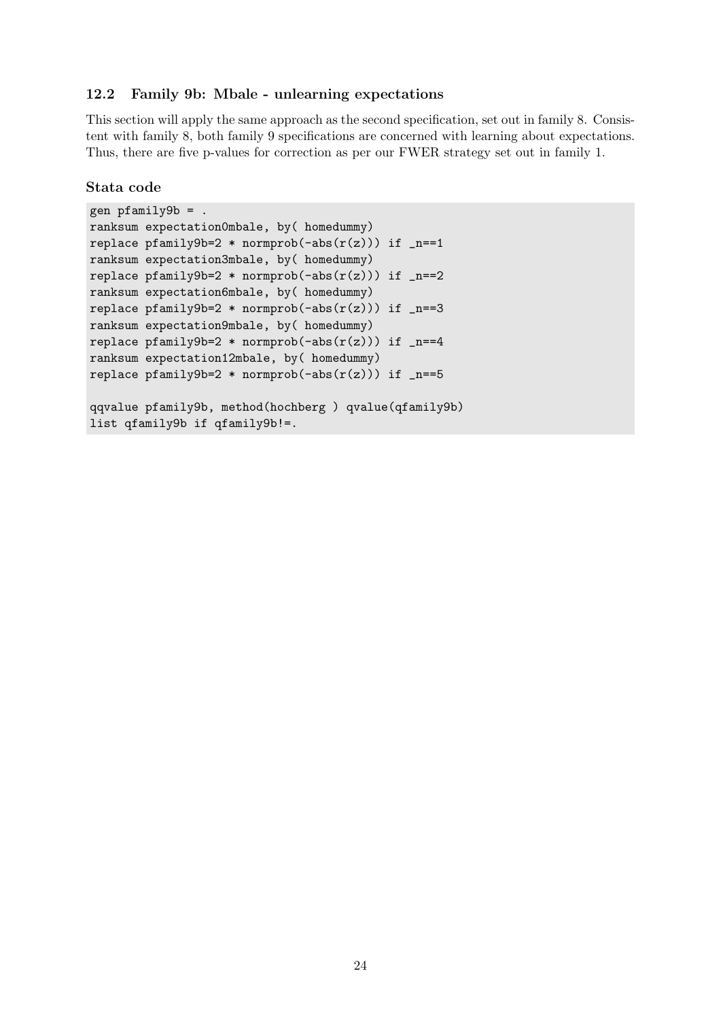### 12.2 Family 9b: Mbale - unlearning expectations

This section will apply the same approach as the second specification, set out in family 8. Consistent with family 8, both family 9 specifications are concerned with learning about expectations. Thus, there are five p-values for correction as per our FWER strategy set out in family 1.

### Stata code

```
gen pfamily9b = .
ranksum expectation0mbale, by( homedummy)
replace pfamily9b=2 * normprob(-abs(r(z))) if _n == 1ranksum expectation3mbale, by( homedummy)
replace pfamily9b=2 * normprob(-abs(r(z))) if _n==2
ranksum expectation6mbale, by( homedummy)
replace pfamily9b=2 * normprob(-abs(r(z))) if _n==3
ranksum expectation9mbale, by( homedummy)
replace pfamily9b=2 * normprob(-abs(r(z))) if _n == 4ranksum expectation12mbale, by( homedummy)
replace pfamily9b=2 * normprob(-abs(r(z))) if _n==5
qqvalue pfamily9b, method(hochberg ) qvalue(qfamily9b)
list qfamily9b if qfamily9b!=.
```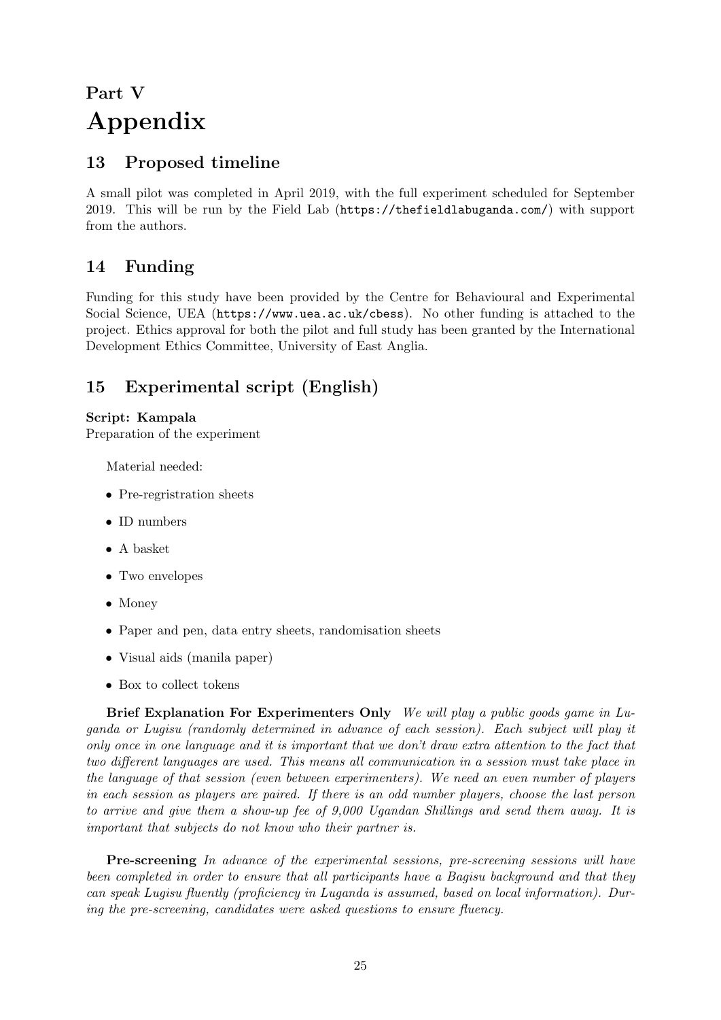# <span id="page-24-0"></span>Part V Appendix

# 13 Proposed timeline

A small pilot was completed in April 2019, with the full experiment scheduled for September 2019. This will be run by the Field Lab (<https://thefieldlabuganda.com/>) with support from the authors.

# 14 Funding

Funding for this study have been provided by the Centre for Behavioural and Experimental Social Science, UEA (<https://www.uea.ac.uk/cbess>). No other funding is attached to the project. Ethics approval for both the pilot and full study has been granted by the International Development Ethics Committee, University of East Anglia.

# 15 Experimental script (English)

# Script: Kampala

Preparation of the experiment

Material needed:

- Pre-regristration sheets
- ID numbers
- A basket
- Two envelopes
- Money
- Paper and pen, data entry sheets, randomisation sheets
- Visual aids (manila paper)
- Box to collect tokens

Brief Explanation For Experimenters Only We will play a public goods game in Luganda or Lugisu (randomly determined in advance of each session). Each subject will play it only once in one language and it is important that we don't draw extra attention to the fact that two different languages are used. This means all communication in a session must take place in the language of that session (even between experimenters). We need an even number of players in each session as players are paired. If there is an odd number players, choose the last person to arrive and give them a show-up fee of 9,000 Ugandan Shillings and send them away. It is important that subjects do not know who their partner is.

Pre-screening In advance of the experimental sessions, pre-screening sessions will have been completed in order to ensure that all participants have a Bagisu background and that they can speak Lugisu fluently (proficiency in Luganda is assumed, based on local information). During the pre-screening, candidates were asked questions to ensure fluency.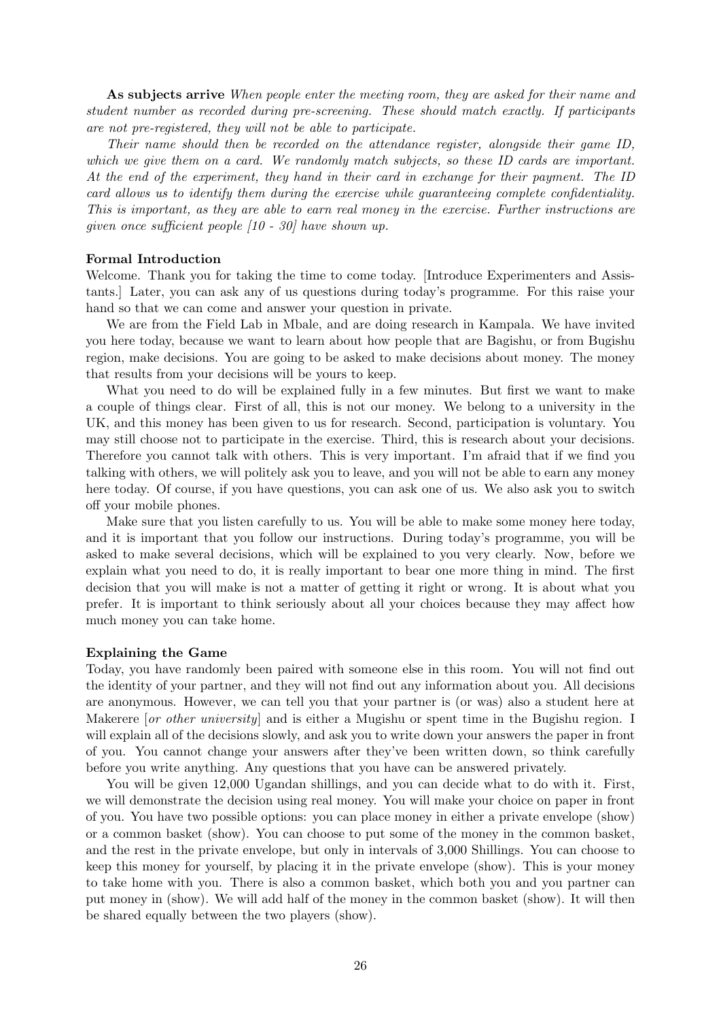As subjects arrive When people enter the meeting room, they are asked for their name and student number as recorded during pre-screening. These should match exactly. If participants are not pre-registered, they will not be able to participate.

Their name should then be recorded on the attendance register, alongside their game ID, which we give them on a card. We randomly match subjects, so these ID cards are important. At the end of the experiment, they hand in their card in exchange for their payment. The ID card allows us to identify them during the exercise while guaranteeing complete confidentiality. This is important, as they are able to earn real money in the exercise. Further instructions are given once sufficient people [10 - 30] have shown up.

### Formal Introduction

Welcome. Thank you for taking the time to come today. [Introduce Experimenters and Assistants.] Later, you can ask any of us questions during today's programme. For this raise your hand so that we can come and answer your question in private.

We are from the Field Lab in Mbale, and are doing research in Kampala. We have invited you here today, because we want to learn about how people that are Bagishu, or from Bugishu region, make decisions. You are going to be asked to make decisions about money. The money that results from your decisions will be yours to keep.

What you need to do will be explained fully in a few minutes. But first we want to make a couple of things clear. First of all, this is not our money. We belong to a university in the UK, and this money has been given to us for research. Second, participation is voluntary. You may still choose not to participate in the exercise. Third, this is research about your decisions. Therefore you cannot talk with others. This is very important. I'm afraid that if we find you talking with others, we will politely ask you to leave, and you will not be able to earn any money here today. Of course, if you have questions, you can ask one of us. We also ask you to switch off your mobile phones.

Make sure that you listen carefully to us. You will be able to make some money here today, and it is important that you follow our instructions. During today's programme, you will be asked to make several decisions, which will be explained to you very clearly. Now, before we explain what you need to do, it is really important to bear one more thing in mind. The first decision that you will make is not a matter of getting it right or wrong. It is about what you prefer. It is important to think seriously about all your choices because they may affect how much money you can take home.

#### Explaining the Game

Today, you have randomly been paired with someone else in this room. You will not find out the identity of your partner, and they will not find out any information about you. All decisions are anonymous. However, we can tell you that your partner is (or was) also a student here at Makerere *or other university* and is either a Mugishu or spent time in the Bugishu region. I will explain all of the decisions slowly, and ask you to write down your answers the paper in front of you. You cannot change your answers after they've been written down, so think carefully before you write anything. Any questions that you have can be answered privately.

You will be given 12,000 Ugandan shillings, and you can decide what to do with it. First, we will demonstrate the decision using real money. You will make your choice on paper in front of you. You have two possible options: you can place money in either a private envelope (show) or a common basket (show). You can choose to put some of the money in the common basket, and the rest in the private envelope, but only in intervals of 3,000 Shillings. You can choose to keep this money for yourself, by placing it in the private envelope (show). This is your money to take home with you. There is also a common basket, which both you and you partner can put money in (show). We will add half of the money in the common basket (show). It will then be shared equally between the two players (show).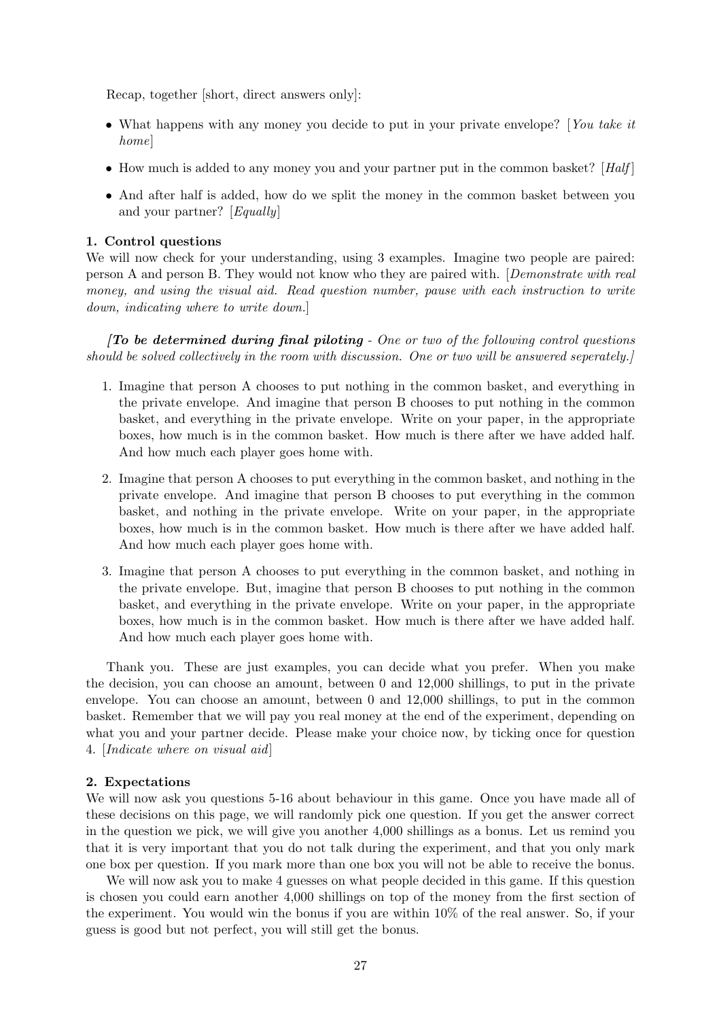Recap, together [short, direct answers only]:

- What happens with any money you decide to put in your private envelope? [You take it home]
- How much is added to any money you and your partner put in the common basket?  $[Halt]$
- And after half is added, how do we split the money in the common basket between you and your partner? [Equally]

### 1. Control questions

We will now check for your understanding, using 3 examples. Imagine two people are paired: person A and person B. They would not know who they are paired with. [Demonstrate with real money, and using the visual aid. Read question number, pause with each instruction to write down, indicating where to write down.]

 $\int$ To be determined during final piloting - One or two of the following control questions should be solved collectively in the room with discussion. One or two will be answered seperately.]

- 1. Imagine that person A chooses to put nothing in the common basket, and everything in the private envelope. And imagine that person B chooses to put nothing in the common basket, and everything in the private envelope. Write on your paper, in the appropriate boxes, how much is in the common basket. How much is there after we have added half. And how much each player goes home with.
- 2. Imagine that person A chooses to put everything in the common basket, and nothing in the private envelope. And imagine that person B chooses to put everything in the common basket, and nothing in the private envelope. Write on your paper, in the appropriate boxes, how much is in the common basket. How much is there after we have added half. And how much each player goes home with.
- 3. Imagine that person A chooses to put everything in the common basket, and nothing in the private envelope. But, imagine that person B chooses to put nothing in the common basket, and everything in the private envelope. Write on your paper, in the appropriate boxes, how much is in the common basket. How much is there after we have added half. And how much each player goes home with.

Thank you. These are just examples, you can decide what you prefer. When you make the decision, you can choose an amount, between 0 and 12,000 shillings, to put in the private envelope. You can choose an amount, between 0 and 12,000 shillings, to put in the common basket. Remember that we will pay you real money at the end of the experiment, depending on what you and your partner decide. Please make your choice now, by ticking once for question 4. [Indicate where on visual aid]

#### 2. Expectations

We will now ask you questions 5-16 about behaviour in this game. Once you have made all of these decisions on this page, we will randomly pick one question. If you get the answer correct in the question we pick, we will give you another 4,000 shillings as a bonus. Let us remind you that it is very important that you do not talk during the experiment, and that you only mark one box per question. If you mark more than one box you will not be able to receive the bonus.

We will now ask you to make 4 guesses on what people decided in this game. If this question is chosen you could earn another 4,000 shillings on top of the money from the first section of the experiment. You would win the bonus if you are within 10% of the real answer. So, if your guess is good but not perfect, you will still get the bonus.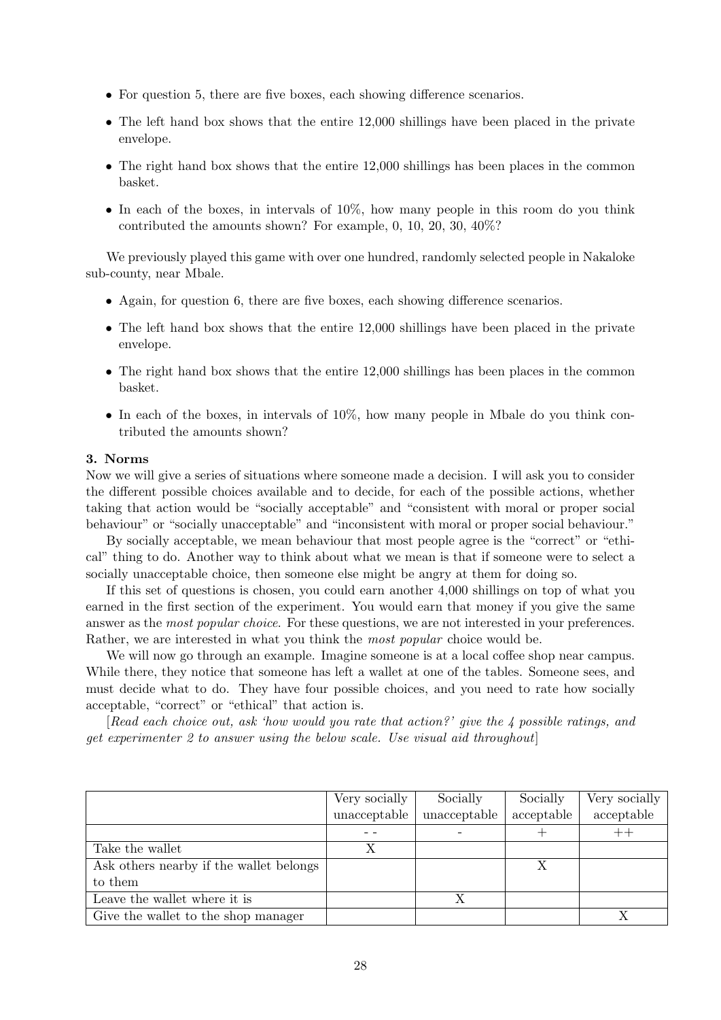- For question 5, there are five boxes, each showing difference scenarios.
- The left hand box shows that the entire 12,000 shillings have been placed in the private envelope.
- The right hand box shows that the entire 12,000 shillings has been places in the common basket.
- In each of the boxes, in intervals of 10%, how many people in this room do you think contributed the amounts shown? For example, 0, 10, 20, 30, 40%?

We previously played this game with over one hundred, randomly selected people in Nakaloke sub-county, near Mbale.

- Again, for question 6, there are five boxes, each showing difference scenarios.
- The left hand box shows that the entire 12,000 shillings have been placed in the private envelope.
- The right hand box shows that the entire 12,000 shillings has been places in the common basket.
- In each of the boxes, in intervals of 10%, how many people in Mbale do you think contributed the amounts shown?

### 3. Norms

Now we will give a series of situations where someone made a decision. I will ask you to consider the different possible choices available and to decide, for each of the possible actions, whether taking that action would be "socially acceptable" and "consistent with moral or proper social behaviour" or "socially unacceptable" and "inconsistent with moral or proper social behaviour."

By socially acceptable, we mean behaviour that most people agree is the "correct" or "ethical" thing to do. Another way to think about what we mean is that if someone were to select a socially unacceptable choice, then someone else might be angry at them for doing so.

If this set of questions is chosen, you could earn another 4,000 shillings on top of what you earned in the first section of the experiment. You would earn that money if you give the same answer as the *most popular choice*. For these questions, we are not interested in your preferences. Rather, we are interested in what you think the most popular choice would be.

We will now go through an example. Imagine someone is at a local coffee shop near campus. While there, they notice that someone has left a wallet at one of the tables. Someone sees, and must decide what to do. They have four possible choices, and you need to rate how socially acceptable, "correct" or "ethical" that action is.

[Read each choice out, ask 'how would you rate that action?' give the 4 possible ratings, and get experimenter 2 to answer using the below scale. Use visual aid throughout]

|                                         | Very socially | Socially     | Socially   | Very socially |
|-----------------------------------------|---------------|--------------|------------|---------------|
|                                         | unacceptable  | unacceptable | acceptable | acceptable    |
|                                         |               |              |            |               |
| Take the wallet                         | Χ             |              |            |               |
| Ask others nearby if the wallet belongs |               |              | X          |               |
| to them                                 |               |              |            |               |
| Leave the wallet where it is            |               | Х            |            |               |
| Give the wallet to the shop manager     |               |              |            |               |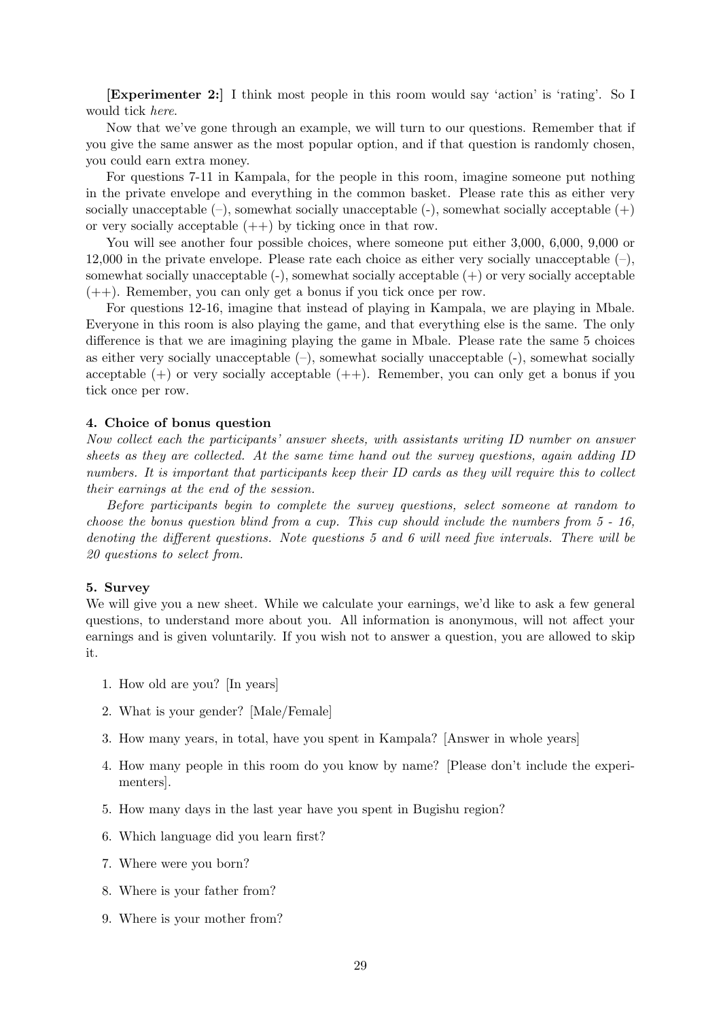[Experimenter 2:] I think most people in this room would say 'action' is 'rating'. So I would tick here.

Now that we've gone through an example, we will turn to our questions. Remember that if you give the same answer as the most popular option, and if that question is randomly chosen, you could earn extra money.

For questions 7-11 in Kampala, for the people in this room, imagine someone put nothing in the private envelope and everything in the common basket. Please rate this as either very socially unacceptable  $(-)$ , somewhat socially unacceptable  $(-)$ , somewhat socially acceptable  $(+)$ or very socially acceptable  $(++)$  by ticking once in that row.

You will see another four possible choices, where someone put either 3,000, 6,000, 9,000 or 12,000 in the private envelope. Please rate each choice as either very socially unacceptable  $(-)$ , somewhat socially unacceptable (-), somewhat socially acceptable (+) or very socially acceptable (++). Remember, you can only get a bonus if you tick once per row.

For questions 12-16, imagine that instead of playing in Kampala, we are playing in Mbale. Everyone in this room is also playing the game, and that everything else is the same. The only difference is that we are imagining playing the game in Mbale. Please rate the same 5 choices as either very socially unacceptable  $(-)$ , somewhat socially unacceptable  $(-)$ , somewhat socially acceptable  $(+)$  or very socially acceptable  $(++)$ . Remember, you can only get a bonus if you tick once per row.

### 4. Choice of bonus question

Now collect each the participants' answer sheets, with assistants writing ID number on answer sheets as they are collected. At the same time hand out the survey questions, again adding ID numbers. It is important that participants keep their ID cards as they will require this to collect their earnings at the end of the session.

Before participants begin to complete the survey questions, select someone at random to choose the bonus question blind from a cup. This cup should include the numbers from  $5$  - 16, denoting the different questions. Note questions 5 and 6 will need five intervals. There will be 20 questions to select from.

#### 5. Survey

We will give you a new sheet. While we calculate your earnings, we'd like to ask a few general questions, to understand more about you. All information is anonymous, will not affect your earnings and is given voluntarily. If you wish not to answer a question, you are allowed to skip it.

- 1. How old are you? [In years]
- 2. What is your gender? [Male/Female]
- 3. How many years, in total, have you spent in Kampala? [Answer in whole years]
- 4. How many people in this room do you know by name? [Please don't include the experimenters].
- 5. How many days in the last year have you spent in Bugishu region?
- 6. Which language did you learn first?
- 7. Where were you born?
- 8. Where is your father from?
- 9. Where is your mother from?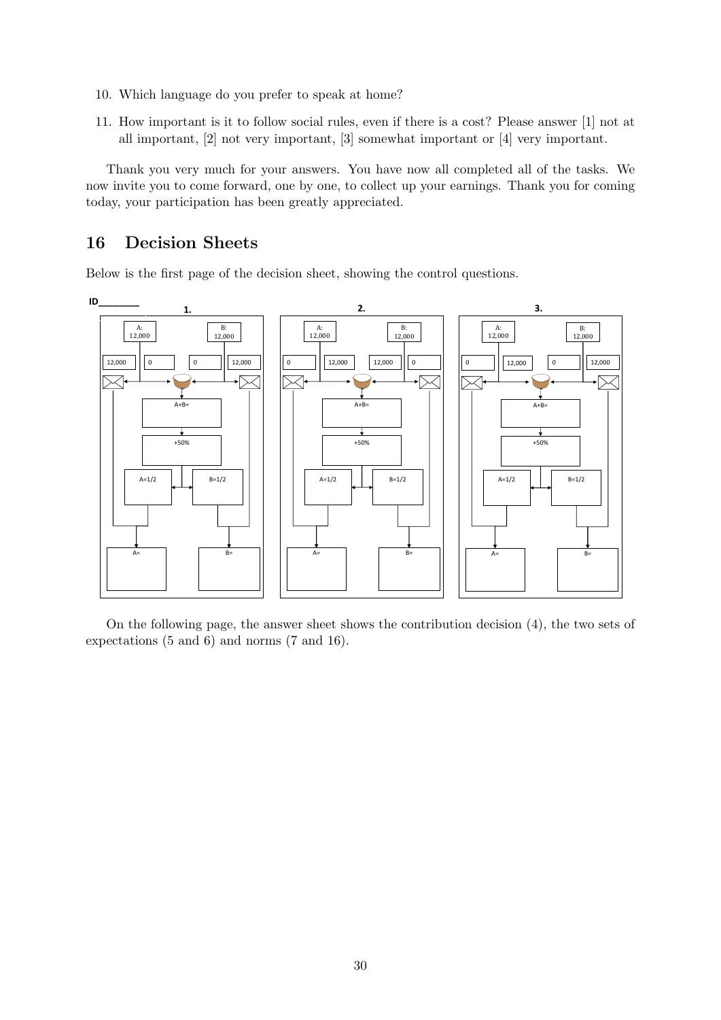- 10. Which language do you prefer to speak at home?
- 11. How important is it to follow social rules, even if there is a cost? Please answer [1] not at all important, [2] not very important, [3] somewhat important or [4] very important.

Thank you very much for your answers. You have now all completed all of the tasks. We now invite you to come forward, one by one, to collect up your earnings. Thank you for coming today, your participation has been greatly appreciated.

# 16 Decision Sheets

Below is the first page of the decision sheet, showing the control questions.



On the following page, the answer sheet shows the contribution decision (4), the two sets of expectations (5 and 6) and norms (7 and 16).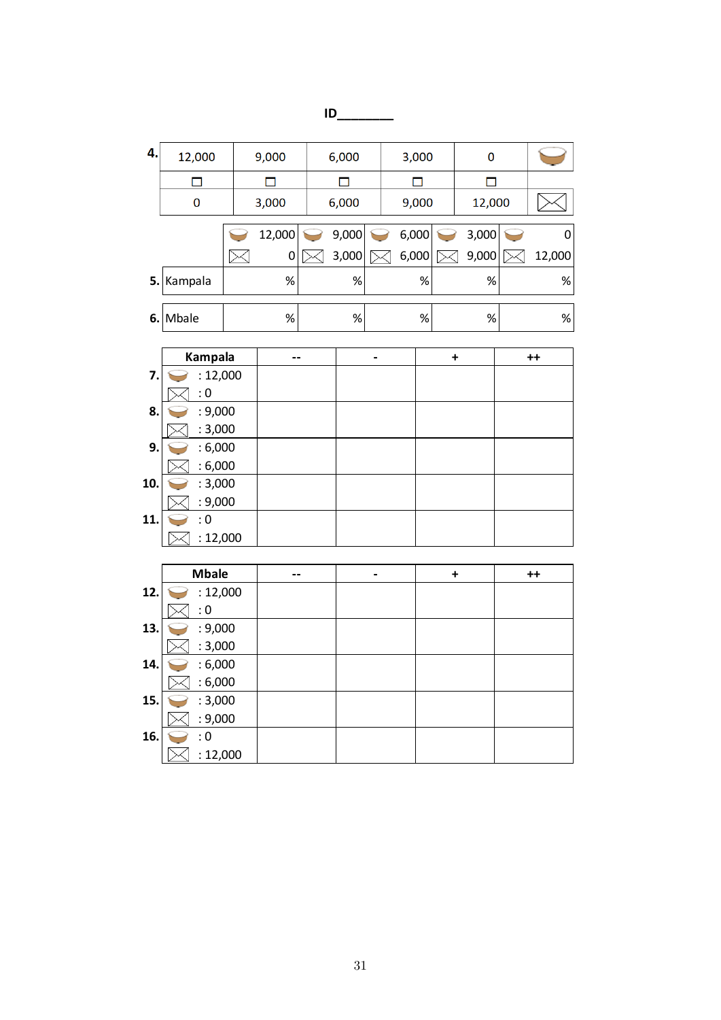# **ID\_\_\_\_\_\_\_\_**

| 4.  | 12,000             | 9,000  | 6,000  |   | 3,000  | $\mathbf 0$          |             |
|-----|--------------------|--------|--------|---|--------|----------------------|-------------|
|     | $\Box$             | ◻      | $\Box$ |   | $\Box$ | ◘                    |             |
|     | 0                  | 3,000  | 6,000  |   | 9,000  | 12,000               |             |
|     |                    | 12,000 | 9,000  |   | 6,000  | 3,000                | $\mathbf 0$ |
|     |                    | 0      | 3,000  |   | 6,000  | 9,000                | 12,000      |
| 5.  | Kampala            | $\%$   | $\%$   |   | %      | $\%$                 | $\%$        |
|     |                    |        |        |   |        |                      |             |
| 6.  | Mbale              | %      | $\%$   |   | %      | %                    | $\%$        |
|     | Kampala            | --     |        | - |        | $\ddot{\phantom{1}}$ | $++$        |
| 7.  | : 12,000           |        |        |   |        |                      |             |
|     | : 0                |        |        |   |        |                      |             |
| 8.  | : 9,000            |        |        |   |        |                      |             |
|     | : 3,000            |        |        |   |        |                      |             |
| 9.  | : 6,000            |        |        |   |        |                      |             |
|     | : 6,000            |        |        |   |        |                      |             |
| 10. | : 3,000<br>: 9,000 |        |        |   |        |                      |             |
| 11. | : 0                |        |        |   |        |                      |             |
|     | : 12,000           |        |        |   |        |                      |             |
|     |                    |        |        |   |        |                      |             |
|     | <b>Mbale</b>       | --     |        | - |        | $\ddot{\phantom{1}}$ | $++$        |
| 12. | : 12,000           |        |        |   |        |                      |             |
|     | : 0                |        |        |   |        |                      |             |
| 13. | : 9,000<br>: 3,000 |        |        |   |        |                      |             |
| 14. | : 6,000            |        |        |   |        |                      |             |
|     | : 6,000            |        |        |   |        |                      |             |
| 15. | : 3,000            |        |        |   |        |                      |             |
|     | : 9,000            |        |        |   |        |                      |             |
| 16. | : 0                |        |        |   |        |                      |             |
|     | : 12,000           |        |        |   |        |                      |             |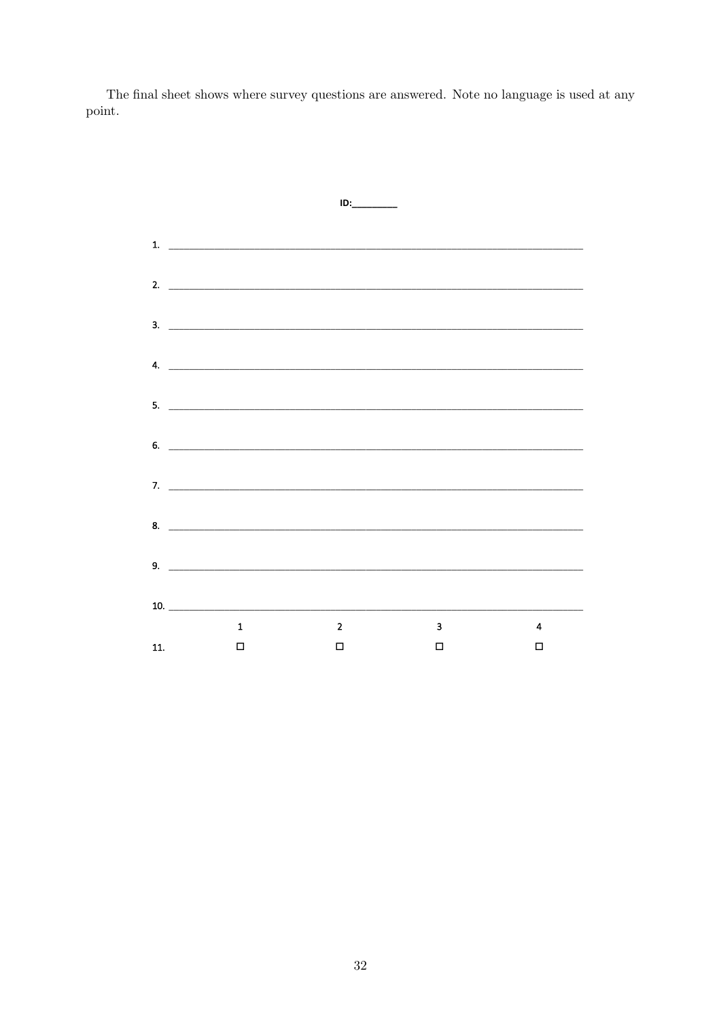The final sheet shows where survey questions are answered. Note no language is used at any point.

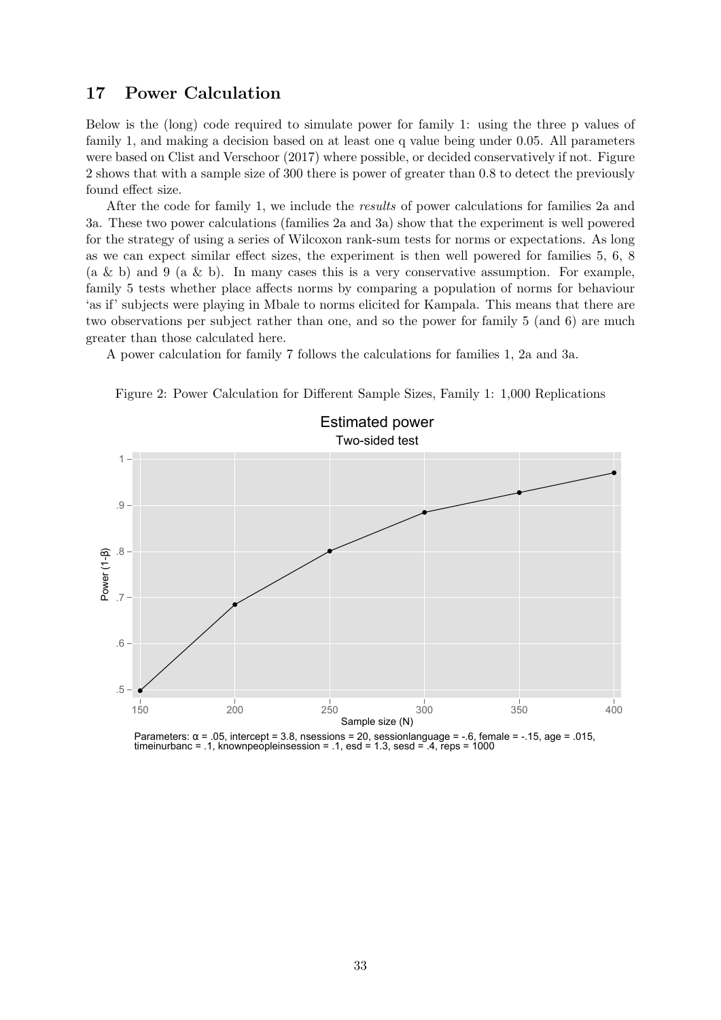# 17 Power Calculation

Below is the (long) code required to simulate power for family 1: using the three p values of family 1, and making a decision based on at least one q value being under 0.05. All parameters were based on [Clist and Verschoor](#page-39-0) [\(2017\)](#page-39-0) where possible, or decided conservatively if not. Figure [2](#page-32-0) shows that with a sample size of 300 there is power of greater than 0.8 to detect the previously found effect size.

After the code for family 1, we include the results of power calculations for families 2a and 3a. These two power calculations (families 2a and 3a) show that the experiment is well powered for the strategy of using a series of Wilcoxon rank-sum tests for norms or expectations. As long as we can expect similar effect sizes, the experiment is then well powered for families 5, 6, 8 (a & b) and 9 (a & b). In many cases this is a very conservative assumption. For example, family 5 tests whether place affects norms by comparing a population of norms for behaviour 'as if' subjects were playing in Mbale to norms elicited for Kampala. This means that there are two observations per subject rather than one, and so the power for family 5 (and 6) are much greater than those calculated here.

A power calculation for family 7 follows the calculations for families 1, 2a and 3a.



<span id="page-32-0"></span>Figure 2: Power Calculation for Different Sample Sizes, Family 1: 1,000 Replications

Parameters:  $\alpha$  = .05, intercept = 3.8, nsessions = 20, sessionlanguage = -.6, female = -.15, age = .015, timeinurbanc = .1, knownpeopleinsession = .1, esd = 1.3, sesd =  $4$ , reps = 1000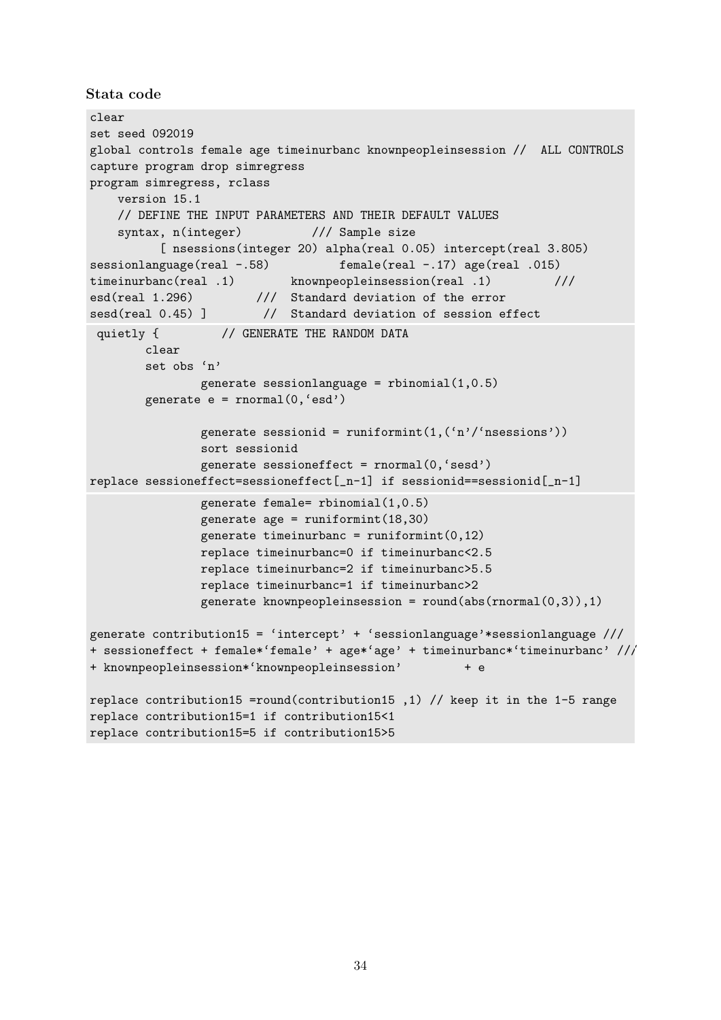Stata code

```
clear
set seed 092019
global controls female age timeinurbanc knownpeopleinsession // ALL CONTROLS
capture program drop simregress
program simregress, rclass
    version 15.1
    // DEFINE THE INPUT PARAMETERS AND THEIR DEFAULT VALUES
    syntax, n(integer) /// Sample size
          [ nsessions(integer 20) alpha(real 0.05) intercept(real 3.805)
sessionlanguage(real -.58) female(real -.17) age(real .015)
timeinurbanc(real .1) knownpeopleinsession(real .1) ///
esd(real 1.296) /// Standard deviation of the error<br>sesd(real 0.45) ] // Standard deviation of session ef
                        // Standard deviation of session effect
 quietly { \frac{1}{2} // GENERATE THE RANDOM DATA
        clear
        set obs 'n'
                generate sessionlanguage = rbinomial(1,0.5)generate e = rnormal(0, 'esd')generate sessionid = runiformint(1, (n')'nsessions'))
                sort sessionid
                generate sessioneffect = rnormal(0,'sesd')
replace sessioneffect=sessioneffect[_n-1] if sessionid==sessionid[_n-1]
                generate female= rbinomial(1,0.5)
                generate age = runiformint(18,30)generate timeinurbanc = runiformint(0,12)replace timeinurbanc=0 if timeinurbanc<2.5
                replace timeinurbanc=2 if timeinurbanc>5.5
                replace timeinurbanc=1 if timeinurbanc>2
                generate knownpeopleinsession = round(abs(rnormal(0,3)),1)
generate contribution15 = 'intercept' + 'sessionlanguage'*sessionlanguage ///
+ sessioneffect + female*'female' + age*'age' + timeinurbanc*'timeinurbanc' ///
+ knownpeopleinsession*'knownpeopleinsession' + e
replace contribution15 =round(contribution15 ,1) // keep it in the 1-5 range
replace contribution15=1 if contribution15<1
replace contribution15=5 if contribution15>5
```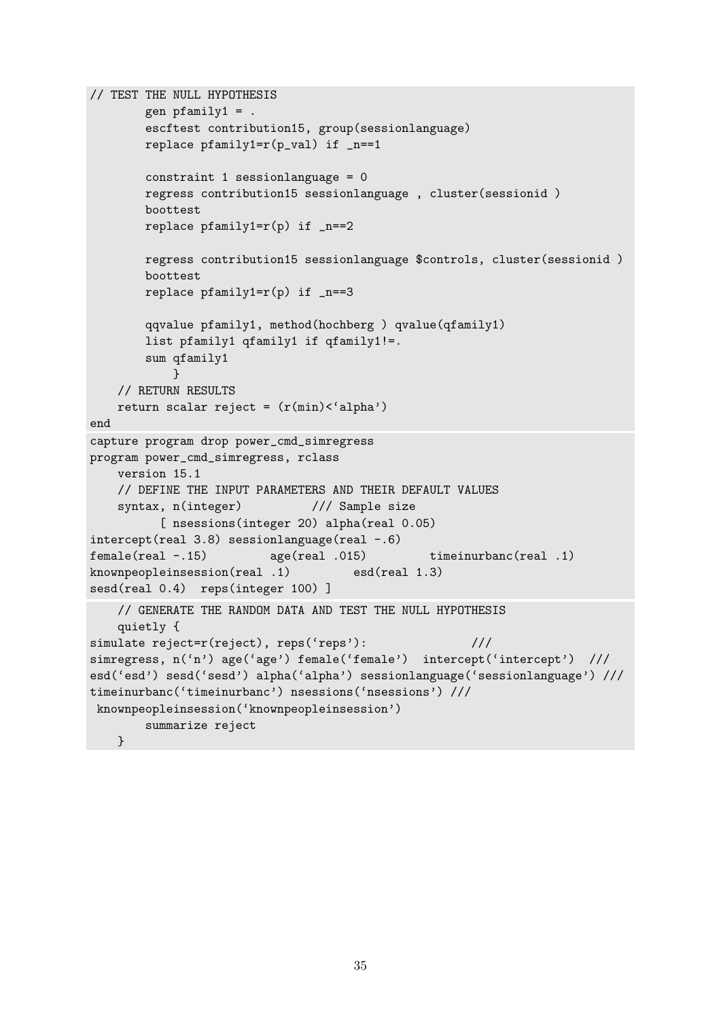```
// TEST THE NULL HYPOTHESIS
        gen pfamily1 = .
        escftest contribution15, group(sessionlanguage)
        replace pfamily1=r(p_val) if _n==1constraint 1 sessionlanguage = 0
        regress contribution15 sessionlanguage , cluster(sessionid )
        boottest
        replace pfamily1=r(p) if _n==2regress contribution15 sessionlanguage $controls, cluster(sessionid )
        boottest
        replace pfamily1=r(p) if _n==3qqvalue pfamily1, method(hochberg ) qvalue(qfamily1)
        list pfamily1 qfamily1 if qfamily1!=.
        sum qfamily1
            }
    // RETURN RESULTS
    return scalar reject = (r(min) < 'alpha')end
capture program drop power_cmd_simregress
program power_cmd_simregress, rclass
    version 15.1
    // DEFINE THE INPUT PARAMETERS AND THEIR DEFAULT VALUES
    syntax, n(integer) /// Sample size
          [ nsessions(integer 20) alpha(real 0.05)
intercept(real 3.8) sessionlanguage(real -.6)
female(real -.15) age(real .015) timeinurbanc(real .1)
knownpeopleinsession(real .1) esd(real 1.3)
sesd(real 0.4) reps(integer 100) ]
    // GENERATE THE RANDOM DATA AND TEST THE NULL HYPOTHESIS
    quietly {
simulate reject=r(reject), reps('reps'): ///
simregress, n('n') age('age') female('female') intercept('intercept') ///
esd('esd') sesd('sesd') alpha('alpha') sessionlanguage('sessionlanguage') ///
timeinurbanc('timeinurbanc') nsessions('nsessions') ///
 knownpeopleinsession('knownpeopleinsession')
        summarize reject
    }
```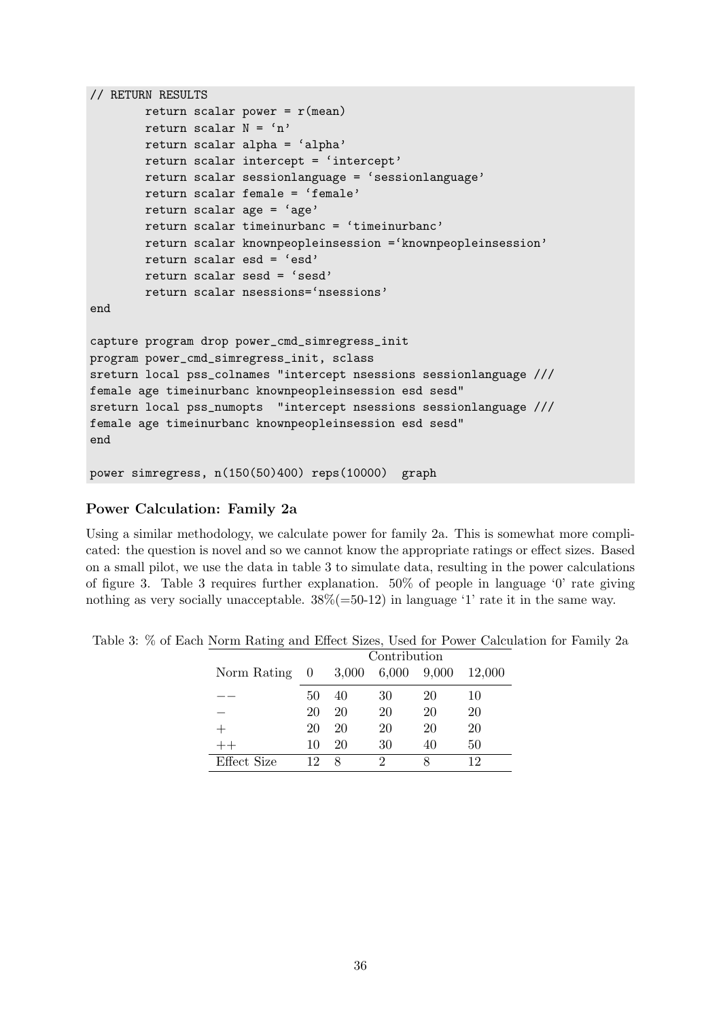```
// RETURN RESULTS
        return scalar power = r(mean)
        return scalar N = 'n'return scalar alpha = 'alpha'
        return scalar intercept = 'intercept'
        return scalar sessionlanguage = 'sessionlanguage'
        return scalar female = 'female'
        return scalar age = 'age'
        return scalar timeinurbanc = 'timeinurbanc'
        return scalar knownpeopleinsession ='knownpeopleinsession'
        return scalar esd = 'esd'
        return scalar sesd = 'sesd'
        return scalar nsessions='nsessions'
end
capture program drop power_cmd_simregress_init
program power_cmd_simregress_init, sclass
sreturn local pss_colnames "intercept nsessions sessionlanguage ///
female age timeinurbanc knownpeopleinsession esd sesd"
sreturn local pss_numopts "intercept nsessions sessionlanguage ///
female age timeinurbanc knownpeopleinsession esd sesd"
end
power simregress, n(150(50)400) reps(10000) graph
```
## Power Calculation: Family 2a

Using a similar methodology, we calculate power for family 2a. This is somewhat more complicated: the question is novel and so we cannot know the appropriate ratings or effect sizes. Based on a small pilot, we use the data in table [3](#page-35-0) to simulate data, resulting in the power calculations of figure [3.](#page-36-0) Table [3](#page-35-0) requires further explanation. 50% of people in language '0' rate giving nothing as very socially unacceptable.  $38\% (=50-12)$  in language '1' rate it in the same way.

<span id="page-35-0"></span>Table 3: % of Each Norm Rating and Effect Sizes, Used for Power Calculation for Family 2a

|               | Contribution |       |       |       |        |  |  |
|---------------|--------------|-------|-------|-------|--------|--|--|
| Norm Rating 0 |              | 3,000 | 6,000 | 9,000 | 12,000 |  |  |
|               | 50           | 40    | 30    | 20    | 10     |  |  |
|               | 20           | 20    | 20    | 20    | 20     |  |  |
|               | 20           | 20    | 20    | 20    | 20     |  |  |
|               | 10           | 20    | 30    | 40    | 50     |  |  |
| Effect Size   | 19           | 8     | າ     |       | 19     |  |  |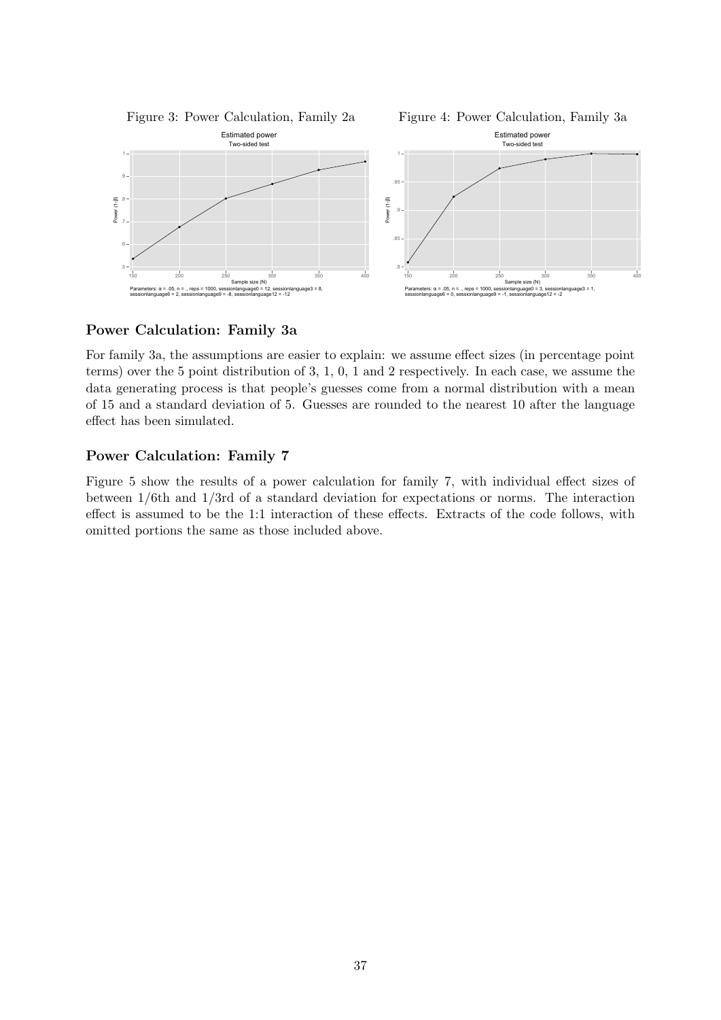<span id="page-36-0"></span>

Figure 4: Power Calculation, Family 3a



### Power Calculation: Family 3a

For family 3a, the assumptions are easier to explain: we assume effect sizes (in percentage point terms) over the 5 point distribution of 3, 1, 0, 1 and 2 respectively. In each case, we assume the data generating process is that people's guesses come from a normal distribution with a mean of 15 and a standard deviation of 5. Guesses are rounded to the nearest 10 after the language effect has been simulated.

### Power Calculation: Family 7

Figure [5](#page-37-0) show the results of a power calculation for family 7, with individual effect sizes of between 1/6th and 1/3rd of a standard deviation for expectations or norms. The interaction effect is assumed to be the 1:1 interaction of these effects. Extracts of the code follows, with omitted portions the same as those included above.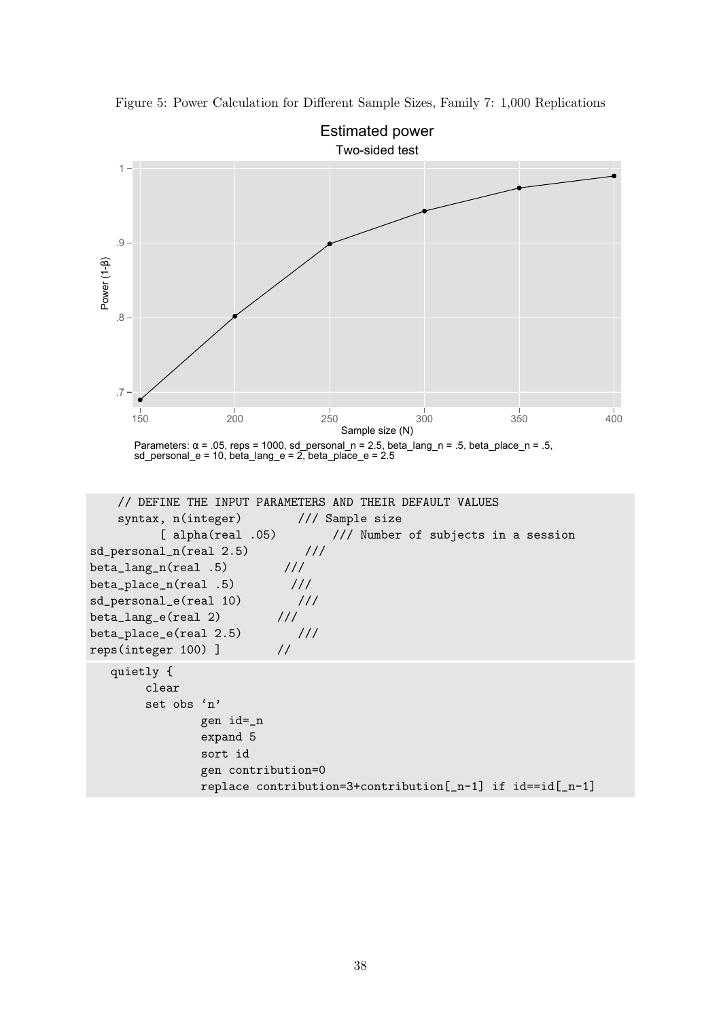

<span id="page-37-0"></span>Figure 5: Power Calculation for Different Sample Sizes, Family 7: 1,000 Replications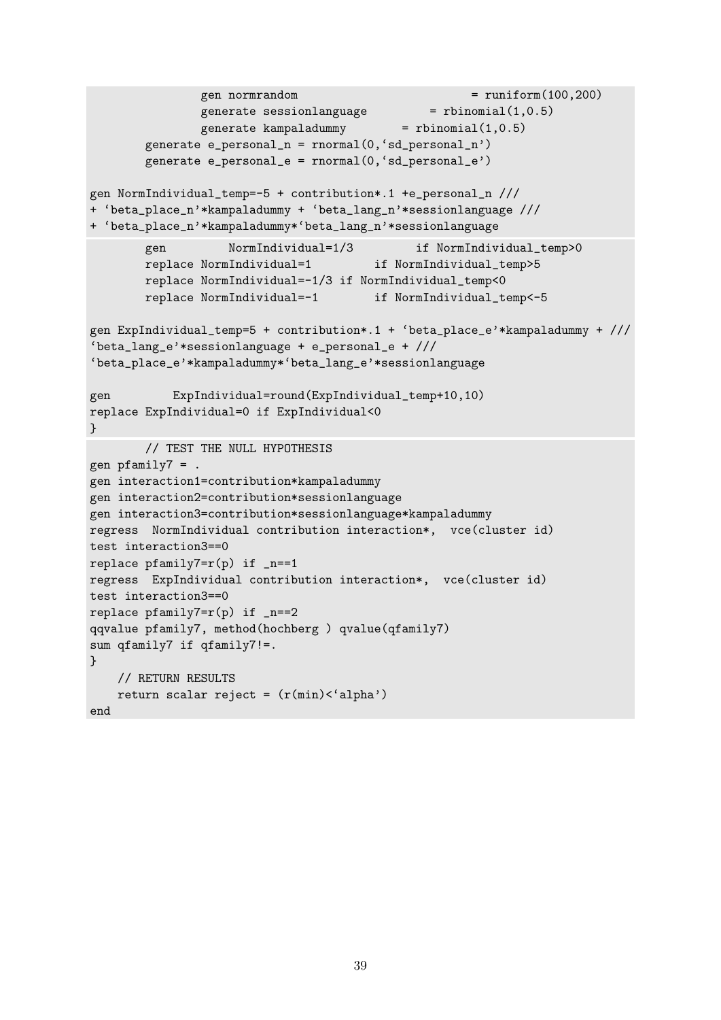```
gen normrandom = runiform(100, 200)generate sessionlanguage = rbinomial(1, 0.5)generate kampaladummy = rbinomial(1,0.5)generate e_personal_n = rnnormal(0, 'sd_personal_n')generate e_personal_e = rnnormal(0, 'sd_personal_e')gen NormIndividual_temp=-5 + contribution*.1 +e_personal_n ///
+ 'beta_place_n'*kampaladummy + 'beta_lang_n'*sessionlanguage ///
+ 'beta_place_n'*kampaladummy*'beta_lang_n'*sessionlanguage
       gen NormIndividual=1/3 if NormIndividual_temp>0
       replace NormIndividual=1 if NormIndividual_temp>5
       replace NormIndividual=-1/3 if NormIndividual_temp<0
       replace NormIndividual=-1 if NormIndividual_temp<-5
gen ExpIndividual_temp=5 + contribution*.1 + 'beta_place_e'*kampaladummy + ///
'beta_lang_e'*sessionlanguage + e_personal_e + ///
'beta_place_e'*kampaladummy*'beta_lang_e'*sessionlanguage
gen ExpIndividual=round(ExpIndividual_temp+10,10)
replace ExpIndividual=0 if ExpIndividual<0
}
       // TEST THE NULL HYPOTHESIS
gen pfamily7 = .
gen interaction1=contribution*kampaladummy
gen interaction2=contribution*sessionlanguage
gen interaction3=contribution*sessionlanguage*kampaladummy
regress NormIndividual contribution interaction*, vce(cluster id)
test interaction3==0
replace pfamily7=r(p) if _n==1regress ExpIndividual contribution interaction*, vce(cluster id)
test interaction3==0
replace pfamily7=r(p) if _n==2
qqvalue pfamily7, method(hochberg ) qvalue(qfamily7)
sum qfamily7 if qfamily7!=.
}
   // RETURN RESULTS
   return scalar reject = (r(min)<'alpha')
end
```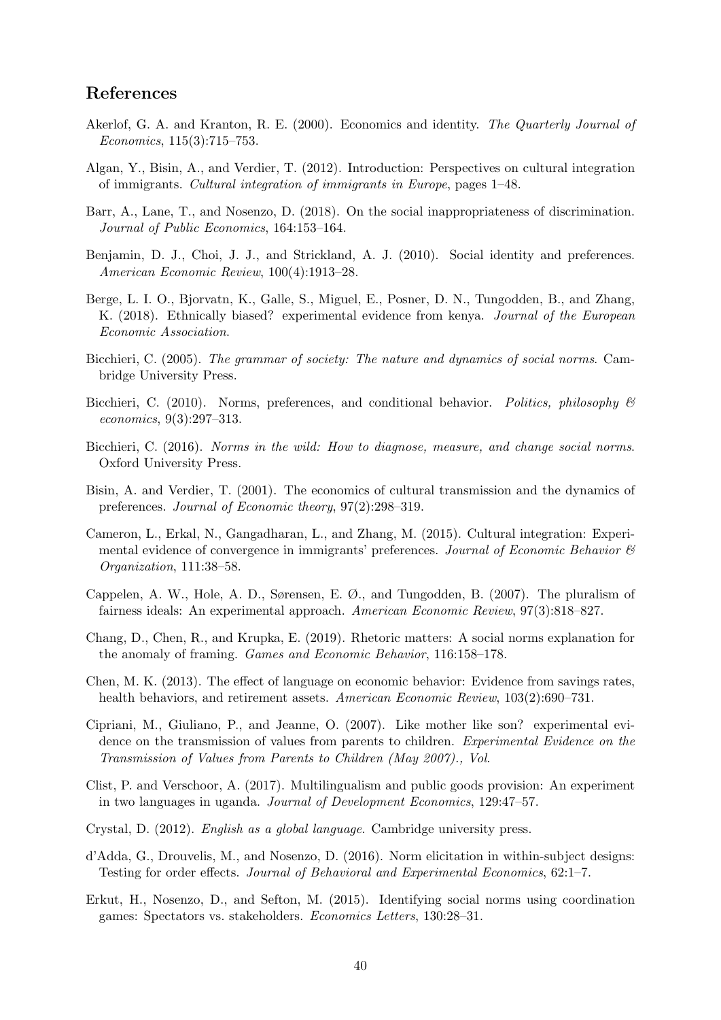# References

- <span id="page-39-11"></span>Akerlof, G. A. and Kranton, R. E. (2000). Economics and identity. The Quarterly Journal of Economics, 115(3):715–753.
- <span id="page-39-16"></span>Algan, Y., Bisin, A., and Verdier, T. (2012). Introduction: Perspectives on cultural integration of immigrants. Cultural integration of immigrants in Europe, pages 1–48.
- <span id="page-39-5"></span>Barr, A., Lane, T., and Nosenzo, D. (2018). On the social inappropriateness of discrimination. Journal of Public Economics, 164:153–164.
- <span id="page-39-3"></span>Benjamin, D. J., Choi, J. J., and Strickland, A. J. (2010). Social identity and preferences. American Economic Review, 100(4):1913–28.
- <span id="page-39-7"></span>Berge, L. I. O., Bjorvatn, K., Galle, S., Miguel, E., Posner, D. N., Tungodden, B., and Zhang, K. (2018). Ethnically biased? experimental evidence from kenya. Journal of the European Economic Association.
- <span id="page-39-13"></span>Bicchieri, C. (2005). The grammar of society: The nature and dynamics of social norms. Cambridge University Press.
- <span id="page-39-4"></span>Bicchieri, C. (2010). Norms, preferences, and conditional behavior. Politics, philosophy  $\mathcal{B}$ economics, 9(3):297–313.
- <span id="page-39-14"></span>Bicchieri, C. (2016). Norms in the wild: How to diagnose, measure, and change social norms. Oxford University Press.
- <span id="page-39-15"></span>Bisin, A. and Verdier, T. (2001). The economics of cultural transmission and the dynamics of preferences. Journal of Economic theory, 97(2):298–319.
- <span id="page-39-8"></span>Cameron, L., Erkal, N., Gangadharan, L., and Zhang, M. (2015). Cultural integration: Experimental evidence of convergence in immigrants' preferences. Journal of Economic Behavior  $\mathcal B$ Organization, 111:38–58.
- <span id="page-39-12"></span>Cappelen, A. W., Hole, A. D., Sørensen, E. Ø., and Tungodden, B. (2007). The pluralism of fairness ideals: An experimental approach. American Economic Review, 97(3):818–827.
- <span id="page-39-6"></span>Chang, D., Chen, R., and Krupka, E. (2019). Rhetoric matters: A social norms explanation for the anomaly of framing. Games and Economic Behavior, 116:158–178.
- <span id="page-39-1"></span>Chen, M. K. (2013). The effect of language on economic behavior: Evidence from savings rates, health behaviors, and retirement assets. American Economic Review,  $103(2):690-731$ .
- <span id="page-39-17"></span>Cipriani, M., Giuliano, P., and Jeanne, O. (2007). Like mother like son? experimental evidence on the transmission of values from parents to children. Experimental Evidence on the Transmission of Values from Parents to Children (May 2007)., Vol.
- <span id="page-39-0"></span>Clist, P. and Verschoor, A. (2017). Multilingualism and public goods provision: An experiment in two languages in uganda. Journal of Development Economics, 129:47–57.
- <span id="page-39-2"></span>Crystal, D. (2012). English as a global language. Cambridge university press.
- <span id="page-39-9"></span>d'Adda, G., Drouvelis, M., and Nosenzo, D. (2016). Norm elicitation in within-subject designs: Testing for order effects. Journal of Behavioral and Experimental Economics, 62:1–7.
- <span id="page-39-10"></span>Erkut, H., Nosenzo, D., and Sefton, M. (2015). Identifying social norms using coordination games: Spectators vs. stakeholders. Economics Letters, 130:28–31.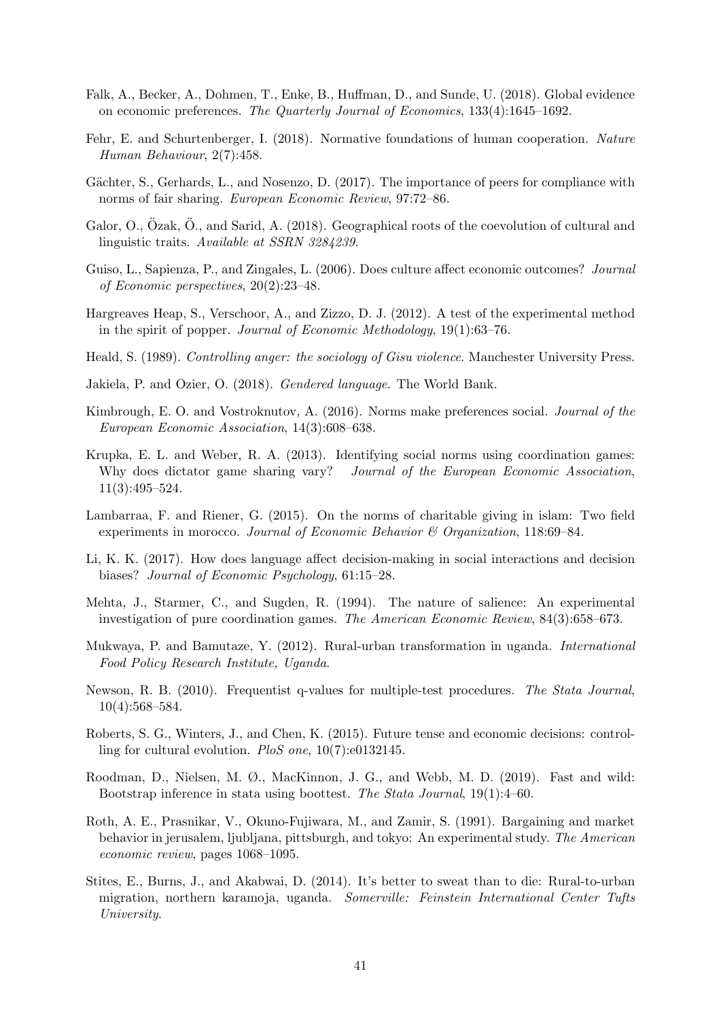- <span id="page-40-1"></span>Falk, A., Becker, A., Dohmen, T., Enke, B., Huffman, D., and Sunde, U. (2018). Global evidence on economic preferences. The Quarterly Journal of Economics, 133(4):1645–1692.
- <span id="page-40-7"></span>Fehr, E. and Schurtenberger, I. (2018). Normative foundations of human cooperation. Nature Human Behaviour, 2(7):458.
- <span id="page-40-11"></span>Gächter, S., Gerhards, L., and Nosenzo, D. (2017). The importance of peers for compliance with norms of fair sharing. European Economic Review, 97:72–86.
- <span id="page-40-3"></span>Galor, O., Özak, Ö., and Sarid, A.  $(2018)$ . Geographical roots of the coevolution of cultural and linguistic traits. Available at SSRN 3284239.
- <span id="page-40-18"></span>Guiso, L., Sapienza, P., and Zingales, L. (2006). Does culture affect economic outcomes? Journal of Economic perspectives, 20(2):23–48.
- <span id="page-40-16"></span>Hargreaves Heap, S., Verschoor, A., and Zizzo, D. J. (2012). A test of the experimental method in the spirit of popper. Journal of Economic Methodology, 19(1):63–76.
- <span id="page-40-13"></span>Heald, S. (1989). Controlling anger: the sociology of Gisu violence. Manchester University Press.
- <span id="page-40-2"></span>Jakiela, P. and Ozier, O. (2018). Gendered language. The World Bank.
- <span id="page-40-10"></span>Kimbrough, E. O. and Vostroknutov, A. (2016). Norms make preferences social. Journal of the European Economic Association, 14(3):608–638.
- <span id="page-40-8"></span>Krupka, E. L. and Weber, R. A. (2013). Identifying social norms using coordination games: Why does dictator game sharing vary? Journal of the European Economic Association. 11(3):495–524.
- <span id="page-40-6"></span>Lambarraa, F. and Riener, G. (2015). On the norms of charitable giving in islam: Two field experiments in morocco. Journal of Economic Behavior  $\mathcal C$  Organization, 118:69–84.
- <span id="page-40-5"></span>Li, K. K. (2017). How does language affect decision-making in social interactions and decision biases? Journal of Economic Psychology, 61:15–28.
- <span id="page-40-9"></span>Mehta, J., Starmer, C., and Sugden, R. (1994). The nature of salience: An experimental investigation of pure coordination games. The American Economic Review, 84(3):658–673.
- <span id="page-40-17"></span>Mukwaya, P. and Bamutaze, Y. (2012). Rural-urban transformation in uganda. International Food Policy Research Institute, Uganda.
- <span id="page-40-14"></span>Newson, R. B. (2010). Frequentist q-values for multiple-test procedures. The Stata Journal, 10(4):568–584.
- <span id="page-40-4"></span>Roberts, S. G., Winters, J., and Chen, K. (2015). Future tense and economic decisions: controlling for cultural evolution. PloS one, 10(7):e0132145.
- <span id="page-40-15"></span>Roodman, D., Nielsen, M. Ø., MacKinnon, J. G., and Webb, M. D. (2019). Fast and wild: Bootstrap inference in stata using boottest. The Stata Journal, 19(1):4–60.
- <span id="page-40-0"></span>Roth, A. E., Prasnikar, V., Okuno-Fujiwara, M., and Zamir, S. (1991). Bargaining and market behavior in jerusalem, ljubljana, pittsburgh, and tokyo: An experimental study. The American economic review, pages 1068–1095.
- <span id="page-40-12"></span>Stites, E., Burns, J., and Akabwai, D. (2014). It's better to sweat than to die: Rural-to-urban migration, northern karamoja, uganda. Somerville: Feinstein International Center Tufts University.